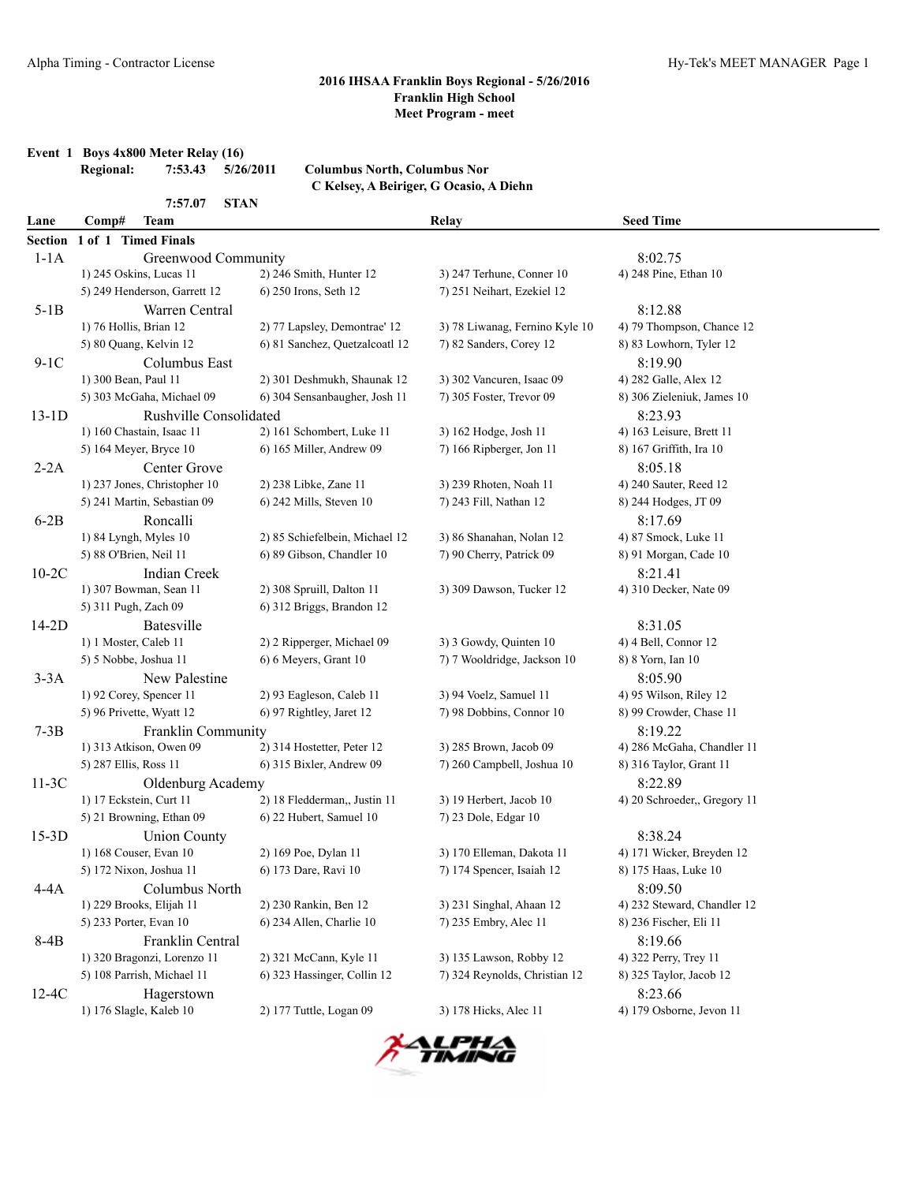|         | Event 1 Boys 4x800 Meter Relay (16)<br>7:53.43<br><b>Regional:</b> | 5/26/2011<br><b>Columbus North, Columbus Nor</b> |                                         |                              |  |
|---------|--------------------------------------------------------------------|--------------------------------------------------|-----------------------------------------|------------------------------|--|
|         |                                                                    |                                                  | C Kelsey, A Beiriger, G Ocasio, A Diehn |                              |  |
|         | <b>STAN</b><br>7:57.07                                             |                                                  |                                         |                              |  |
| Lane    | <b>Team</b><br>Comp#                                               |                                                  | Relay                                   | <b>Seed Time</b>             |  |
| Section | 1 of 1 Timed Finals                                                |                                                  |                                         |                              |  |
| $1-1A$  | Greenwood Community                                                |                                                  |                                         | 8:02.75                      |  |
|         | 1) 245 Oskins, Lucas 11                                            | 2) 246 Smith, Hunter 12                          | 3) 247 Terhune, Conner 10               | 4) 248 Pine, Ethan 10        |  |
|         | 5) 249 Henderson, Garrett 12                                       | 6) 250 Irons, Seth 12                            | 7) 251 Neihart, Ezekiel 12              |                              |  |
| $5-1B$  | Warren Central                                                     |                                                  |                                         | 8:12.88                      |  |
|         | 1) 76 Hollis, Brian 12                                             | 2) 77 Lapsley, Demontrae' 12                     | 3) 78 Liwanag, Fernino Kyle 10          | 4) 79 Thompson, Chance 12    |  |
|         | 5) 80 Quang, Kelvin 12                                             | 6) 81 Sanchez, Quetzalcoatl 12                   | 7) 82 Sanders, Corey 12                 | 8) 83 Lowhorn, Tyler 12      |  |
| $9-1C$  | Columbus East                                                      |                                                  |                                         | 8:19.90                      |  |
|         | 1) 300 Bean, Paul 11                                               | 2) 301 Deshmukh, Shaunak 12                      | 3) 302 Vancuren, Isaac 09               | 4) 282 Galle, Alex 12        |  |
|         | 5) 303 McGaha, Michael 09                                          | 6) 304 Sensanbaugher, Josh 11                    | 7) 305 Foster, Trevor 09                | 8) 306 Zieleniuk, James 10   |  |
| $13-1D$ | Rushville Consolidated                                             |                                                  |                                         | 8:23.93                      |  |
|         | 1) 160 Chastain, Isaac 11                                          | 2) 161 Schombert, Luke 11                        | 3) 162 Hodge, Josh 11                   | 4) 163 Leisure, Brett 11     |  |
|         | 5) 164 Meyer, Bryce 10                                             | 6) 165 Miller, Andrew 09                         | 7) 166 Ripberger, Jon 11                | 8) 167 Griffith, Ira 10      |  |
| $2-2A$  | Center Grove                                                       |                                                  |                                         | 8:05.18                      |  |
|         | 1) 237 Jones, Christopher 10                                       | 2) 238 Libke, Zane 11                            | 3) 239 Rhoten, Noah 11                  | 4) 240 Sauter, Reed 12       |  |
|         | 5) 241 Martin, Sebastian 09                                        | 6) 242 Mills, Steven 10                          | 7) 243 Fill, Nathan 12                  | 8) 244 Hodges, JT 09         |  |
| $6-2B$  | Roncalli                                                           |                                                  |                                         | 8:17.69                      |  |
|         | 1) 84 Lyngh, Myles 10                                              | 2) 85 Schiefelbein, Michael 12                   | 3) 86 Shanahan, Nolan 12                | 4) 87 Smock, Luke 11         |  |
|         | 5) 88 O'Brien, Neil 11                                             | 6) 89 Gibson, Chandler 10                        | 7) 90 Cherry, Patrick 09                | 8) 91 Morgan, Cade 10        |  |
| $10-2C$ | Indian Creek                                                       |                                                  |                                         | 8:21.41                      |  |
|         | 1) 307 Bowman, Sean 11                                             | 2) 308 Spruill, Dalton 11                        | 3) 309 Dawson, Tucker 12                | 4) 310 Decker, Nate 09       |  |
|         | 5) 311 Pugh, Zach 09                                               | 6) 312 Briggs, Brandon 12                        |                                         |                              |  |
| $14-2D$ | Batesville                                                         |                                                  |                                         | 8:31.05                      |  |
|         | 1) 1 Moster, Caleb 11                                              | 2) 2 Ripperger, Michael 09                       | 3) 3 Gowdy, Quinten 10                  | 4) 4 Bell, Connor 12         |  |
|         | 5) 5 Nobbe, Joshua 11                                              | 6) 6 Meyers, Grant 10                            | 7) 7 Wooldridge, Jackson 10             | 8) 8 Yorn, Ian 10            |  |
| $3-3A$  | New Palestine                                                      |                                                  |                                         | 8:05.90                      |  |
|         | 1) 92 Corey, Spencer 11                                            | 2) 93 Eagleson, Caleb 11                         | 3) 94 Voelz, Samuel 11                  | 4) 95 Wilson, Riley 12       |  |
|         | 5) 96 Privette, Wyatt 12                                           | 6) 97 Rightley, Jaret 12                         | 7) 98 Dobbins, Connor 10                | 8) 99 Crowder, Chase 11      |  |
| $7-3B$  | Franklin Community                                                 |                                                  |                                         | 8:19.22                      |  |
|         | 1) 313 Atkison, Owen 09                                            | 2) 314 Hostetter, Peter 12                       | 3) 285 Brown, Jacob 09                  | 4) 286 McGaha, Chandler 11   |  |
|         | 5) 287 Ellis, Ross 11                                              | 6) 315 Bixler, Andrew 09                         | 7) 260 Campbell, Joshua 10              | 8) 316 Taylor, Grant 11      |  |
| $11-3C$ | Oldenburg Academy                                                  |                                                  |                                         | 8:22.89                      |  |
|         | 1) 17 Eckstein, Curt 11                                            | 2) 18 Fledderman,, Justin 11                     | 3) 19 Herbert, Jacob 10                 | 4) 20 Schroeder,, Gregory 11 |  |
|         | 5) 21 Browning, Ethan 09                                           | 6) 22 Hubert, Samuel 10                          | 7) 23 Dole, Edgar 10                    |                              |  |
| $15-3D$ | <b>Union County</b>                                                |                                                  |                                         | 8:38.24                      |  |
|         | 1) 168 Couser, Evan 10                                             | 2) 169 Poe, Dylan 11                             | 3) 170 Elleman, Dakota 11               | 4) 171 Wicker, Breyden 12    |  |
|         | 5) 172 Nixon, Joshua 11                                            | 6) 173 Dare, Ravi 10                             | 7) 174 Spencer, Isaiah 12               | 8) 175 Haas, Luke 10         |  |
| 4-4A    | Columbus North                                                     |                                                  |                                         | 8:09.50                      |  |
|         | 1) 229 Brooks, Elijah 11                                           | 2) 230 Rankin, Ben 12                            | 3) 231 Singhal, Ahaan 12                | 4) 232 Steward, Chandler 12  |  |
|         | 5) 233 Porter, Evan 10                                             | 6) 234 Allen, Charlie 10                         | 7) 235 Embry, Alec 11                   | 8) 236 Fischer, Eli 11       |  |
| 8-4B    | Franklin Central                                                   |                                                  |                                         | 8:19.66                      |  |
|         | 1) 320 Bragonzi, Lorenzo 11                                        | 2) 321 McCann, Kyle 11                           | 3) 135 Lawson, Robby 12                 | 4) 322 Perry, Trey 11        |  |
|         | 5) 108 Parrish, Michael 11                                         | 6) 323 Hassinger, Collin 12                      | 7) 324 Reynolds, Christian 12           | 8) 325 Taylor, Jacob 12      |  |
| $12-4C$ | Hagerstown                                                         |                                                  |                                         | 8:23.66                      |  |
|         | 1) 176 Slagle, Kaleb 10                                            | 2) 177 Tuttle, Logan 09                          | 3) 178 Hicks, Alec 11                   | 4) 179 Osborne, Jevon 11     |  |

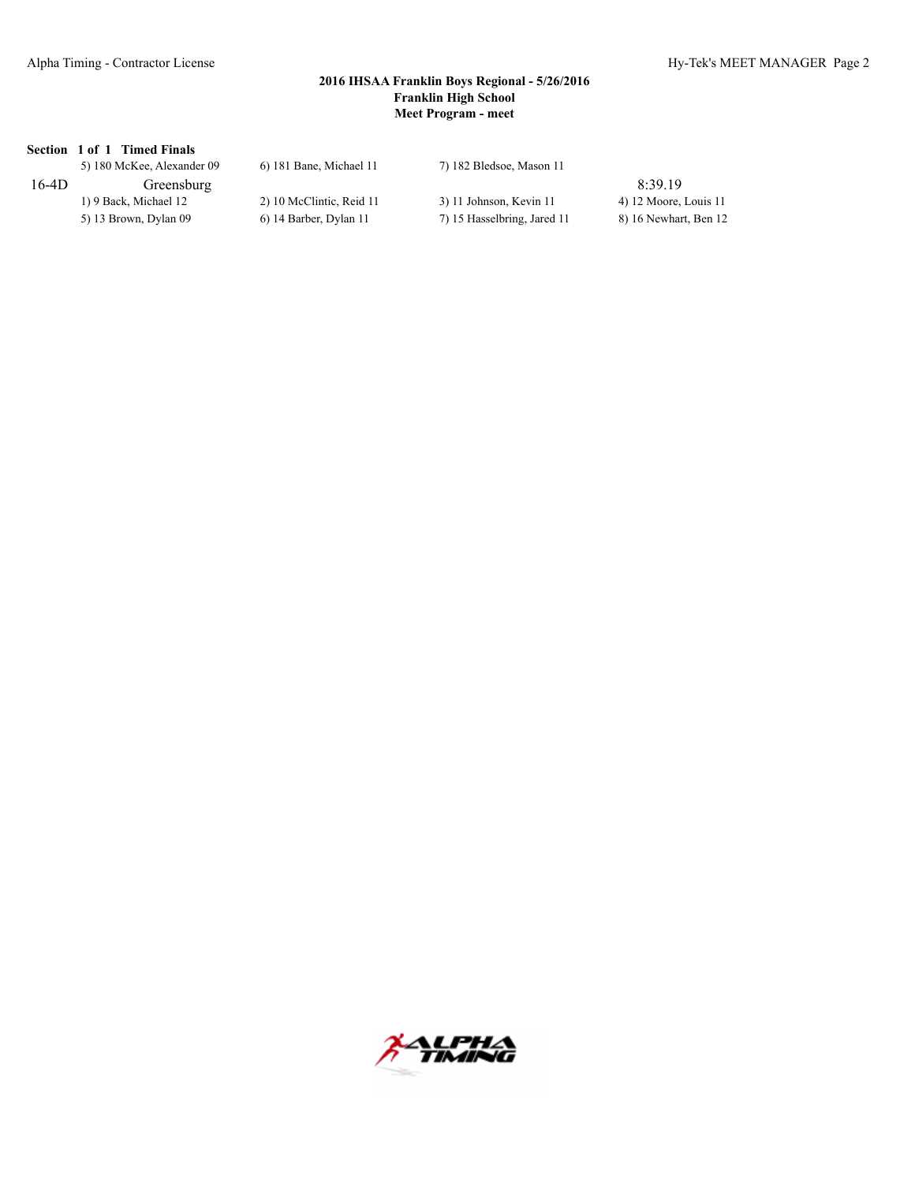# **Section 1 of 1 Timed Finals**

|         | 5) 180 McKee, Alexander 09 | 6) 181 Bane, Michael 11  | 7) 182 Bledsoe, Mason 11    |                       |
|---------|----------------------------|--------------------------|-----------------------------|-----------------------|
| $16-4D$ | Greensburg                 |                          |                             | 8:39.19               |
|         | 1) 9 Back, Michael 12      | 2) 10 McClintic, Reid 11 | 3) 11 Johnson, Kevin 11     | 4) 12 Moore, Louis 11 |
|         | 5) 13 Brown, Dylan 09      | 6) 14 Barber, Dylan 11   | 7) 15 Hasselbring, Jared 11 | 8) 16 Newhart, Ben 12 |

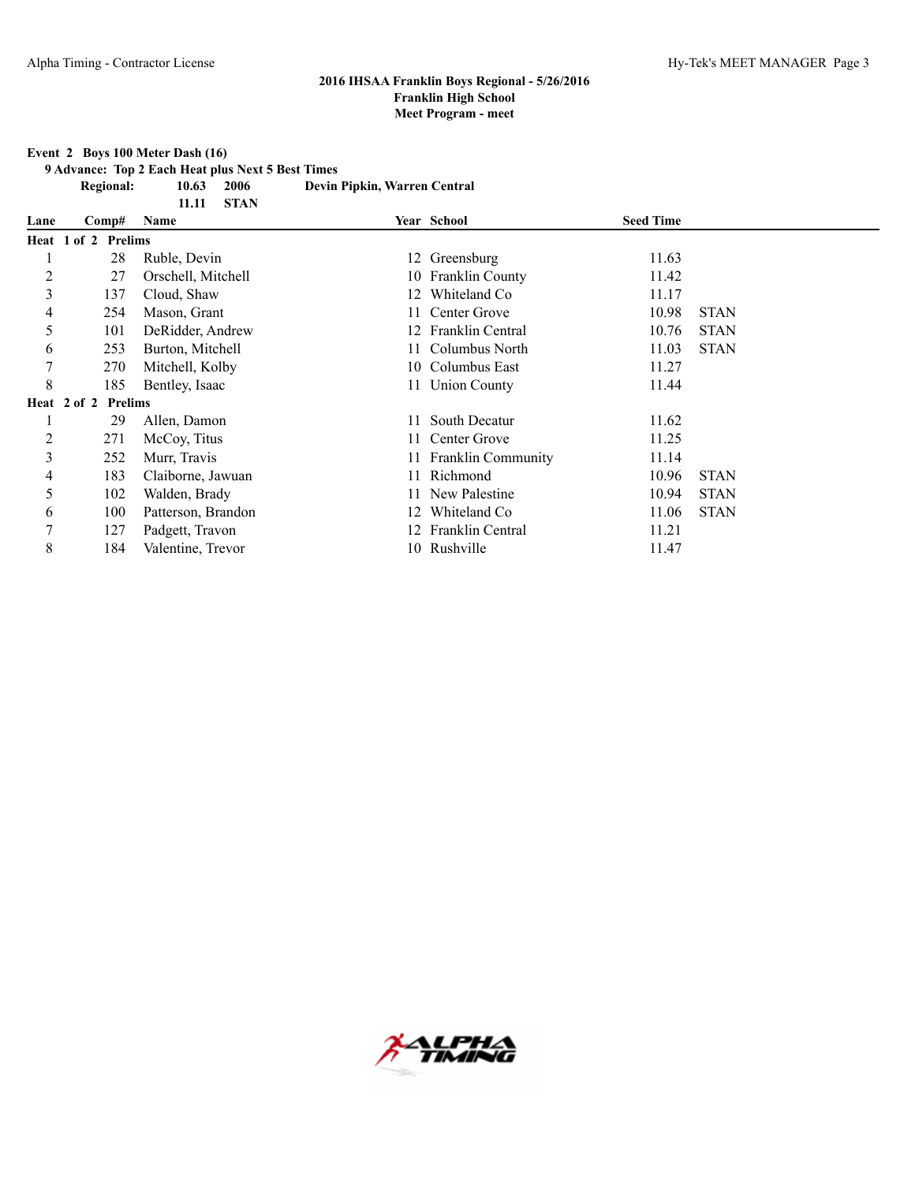#### **Event 2 Boys 100 Meter Dash (16)**

**9 Advance: Top 2 Each Heat plus Next 5 Best Times**

**11.11 STAN**

**Regional: 10.63 2006 Devin Pipkin, Warren Central**

| Lane           | Comp#               | Name               |    | Year School           | <b>Seed Time</b> |             |
|----------------|---------------------|--------------------|----|-----------------------|------------------|-------------|
|                | Heat 1 of 2 Prelims |                    |    |                       |                  |             |
|                | 28                  | Ruble, Devin       |    | 12 Greensburg         | 11.63            |             |
| $\overline{c}$ | 27                  | Orschell, Mitchell |    | 10 Franklin County    | 11.42            |             |
| 3              | 137                 | Cloud, Shaw        | 12 | Whiteland Co          | 11.17            |             |
| 4              | 254                 | Mason, Grant       |    | 11 Center Grove       | 10.98            | <b>STAN</b> |
| 5              | 101                 | DeRidder, Andrew   |    | 12 Franklin Central   | 10.76            | <b>STAN</b> |
| 6              | 253                 | Burton, Mitchell   |    | 11 Columbus North     | 11.03            | <b>STAN</b> |
| 7              | 270                 | Mitchell, Kolby    |    | 10 Columbus East      | 11.27            |             |
| 8              | 185                 | Bentley, Isaac     |    | 11 Union County       | 11.44            |             |
|                | Heat 2 of 2 Prelims |                    |    |                       |                  |             |
|                | 29                  | Allen, Damon       | 11 | South Decatur         | 11.62            |             |
| 2              | 271                 | McCoy, Titus       |    | 11 Center Grove       | 11.25            |             |
| 3              | 252                 | Murr, Travis       |    | 11 Franklin Community | 11.14            |             |
| 4              | 183                 | Claiborne, Jawuan  |    | 11 Richmond           | 10.96            | <b>STAN</b> |
| 5              | 102                 | Walden, Brady      |    | 11 New Palestine      | 10.94            | <b>STAN</b> |
| 6              | 100                 | Patterson, Brandon | 12 | Whiteland Co.         | 11.06            | <b>STAN</b> |
| 7              | 127                 | Padgett, Travon    |    | Franklin Central      | 11.21            |             |
| 8              | 184                 | Valentine, Trevor  |    | 10 Rushville          | 11.47            |             |

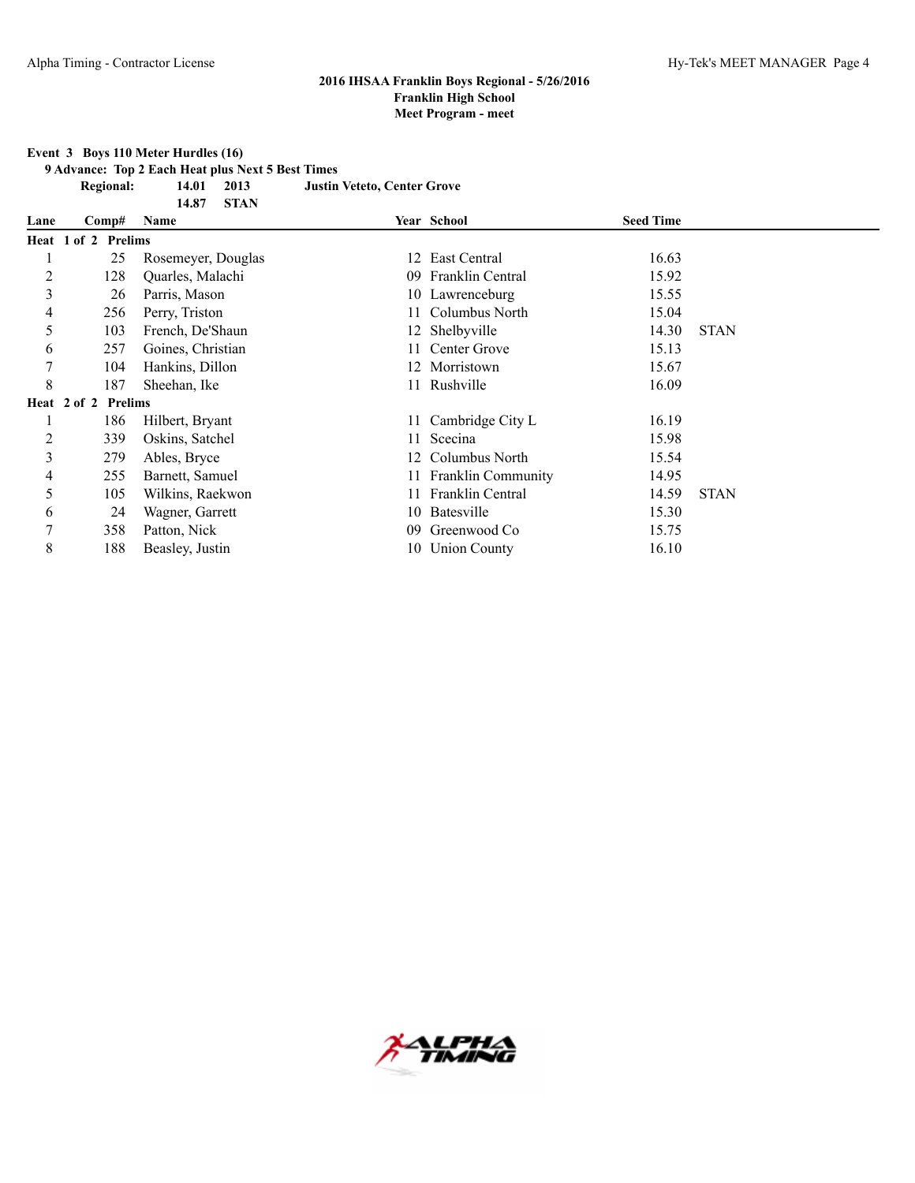**Event 3 Boys 110 Meter Hurdles (16)**

**9 Advance: Top 2 Each Heat plus Next 5 Best Times**

**Regional: 14.01 2013 Justin Veteto, Center Grove**

|                |                     | <b>STAN</b><br>14.87 |     |                       |                  |             |
|----------------|---------------------|----------------------|-----|-----------------------|------------------|-------------|
| Lane           | Comp#               | Name                 |     | Year School           | <b>Seed Time</b> |             |
|                | Heat 1 of 2 Prelims |                      |     |                       |                  |             |
|                | 25                  | Rosemeyer, Douglas   | 12  | East Central          | 16.63            |             |
| $\overline{c}$ | 128                 | Quarles, Malachi     | 09  | Franklin Central      | 15.92            |             |
| 3              | 26                  | Parris, Mason        |     | 10 Lawrenceburg       | 15.55            |             |
| 4              | 256                 | Perry, Triston       |     | 11 Columbus North     | 15.04            |             |
| 5              | 103                 | French, De'Shaun     |     | 12 Shelbyville        | 14.30            | <b>STAN</b> |
| 6              | 257                 | Goines, Christian    |     | 11 Center Grove       | 15.13            |             |
| 7              | 104                 | Hankins, Dillon      |     | 12 Morristown         | 15.67            |             |
| 8              | 187                 | Sheehan, Ike         |     | 11 Rushville          | 16.09            |             |
|                | Heat 2 of 2 Prelims |                      |     |                       |                  |             |
|                | 186                 | Hilbert, Bryant      |     | 11 Cambridge City L   | 16.19            |             |
| 2              | 339                 | Oskins, Satchel      | 11  | Scecina               | 15.98            |             |
| 3              | 279                 | Ables, Bryce         | 12. | Columbus North        | 15.54            |             |
| 4              | 255                 | Barnett, Samuel      |     | 11 Franklin Community | 14.95            |             |
| 5              | 105                 | Wilkins, Raekwon     | 11- | Franklin Central      | 14.59            | <b>STAN</b> |
| 6              | 24                  | Wagner, Garrett      | 10. | Batesville            | 15.30            |             |
| 7              | 358                 | Patton, Nick         | 09  | Greenwood Co          | 15.75            |             |
| 8              | 188                 | Beasley, Justin      |     | 10 Union County       | 16.10            |             |

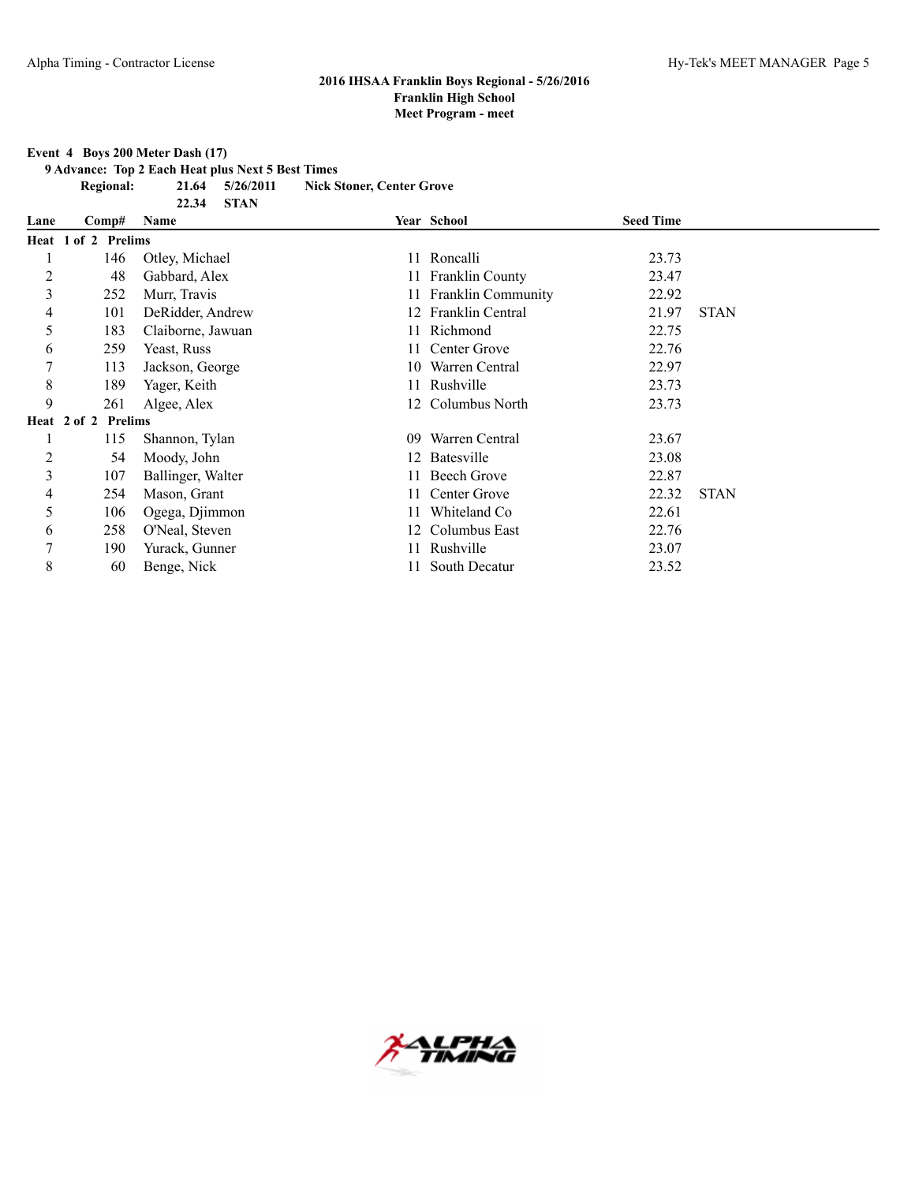**Event 4 Boys 200 Meter Dash (17)**

**9 Advance: Top 2 Each Heat plus Next 5 Best Times**

**22.34 STAN**

**Regional: 21.64 5/26/2011 Nick Stoner, Center Grove**

| Lane           | Comp#               | Name              |    | Year School               | <b>Seed Time</b> |             |
|----------------|---------------------|-------------------|----|---------------------------|------------------|-------------|
|                | Heat 1 of 2 Prelims |                   |    |                           |                  |             |
|                | 146                 | Otley, Michael    |    | 11 Roncalli               | 23.73            |             |
| $\overline{c}$ | 48                  | Gabbard, Alex     |    | 11 Franklin County        | 23.47            |             |
| 3              | 252                 | Murr, Travis      |    | <b>Franklin Community</b> | 22.92            |             |
| 4              | 101                 | DeRidder, Andrew  | 12 | Franklin Central          | 21.97            | <b>STAN</b> |
| 5              | 183                 | Claiborne, Jawuan |    | Richmond                  | 22.75            |             |
| 6              | 259                 | Yeast, Russ       |    | Center Grove              | 22.76            |             |
|                | 113                 | Jackson, George   |    | 10 Warren Central         | 22.97            |             |
| 8              | 189                 | Yager, Keith      |    | 11 Rushville              | 23.73            |             |
| 9              | 261                 | Algee, Alex       |    | 12 Columbus North         | 23.73            |             |
|                | Heat 2 of 2 Prelims |                   |    |                           |                  |             |
|                | 115                 | Shannon, Tylan    | 09 | Warren Central            | 23.67            |             |
| $\overline{c}$ | 54                  | Moody, John       |    | 12 Batesville             | 23.08            |             |
| 3              | 107                 | Ballinger, Walter |    | <b>Beech Grove</b>        | 22.87            |             |
| 4              | 254                 | Mason, Grant      | 11 | Center Grove              | 22.32            | <b>STAN</b> |
| 5              | 106                 | Ogega, Djimmon    |    | Whiteland Co              | 22.61            |             |
| 6              | 258                 | O'Neal, Steven    |    | 12 Columbus East          | 22.76            |             |
| 7              | 190                 | Yurack, Gunner    |    | Rushville                 | 23.07            |             |
| 8              | 60                  | Benge, Nick       |    | South Decatur             | 23.52            |             |

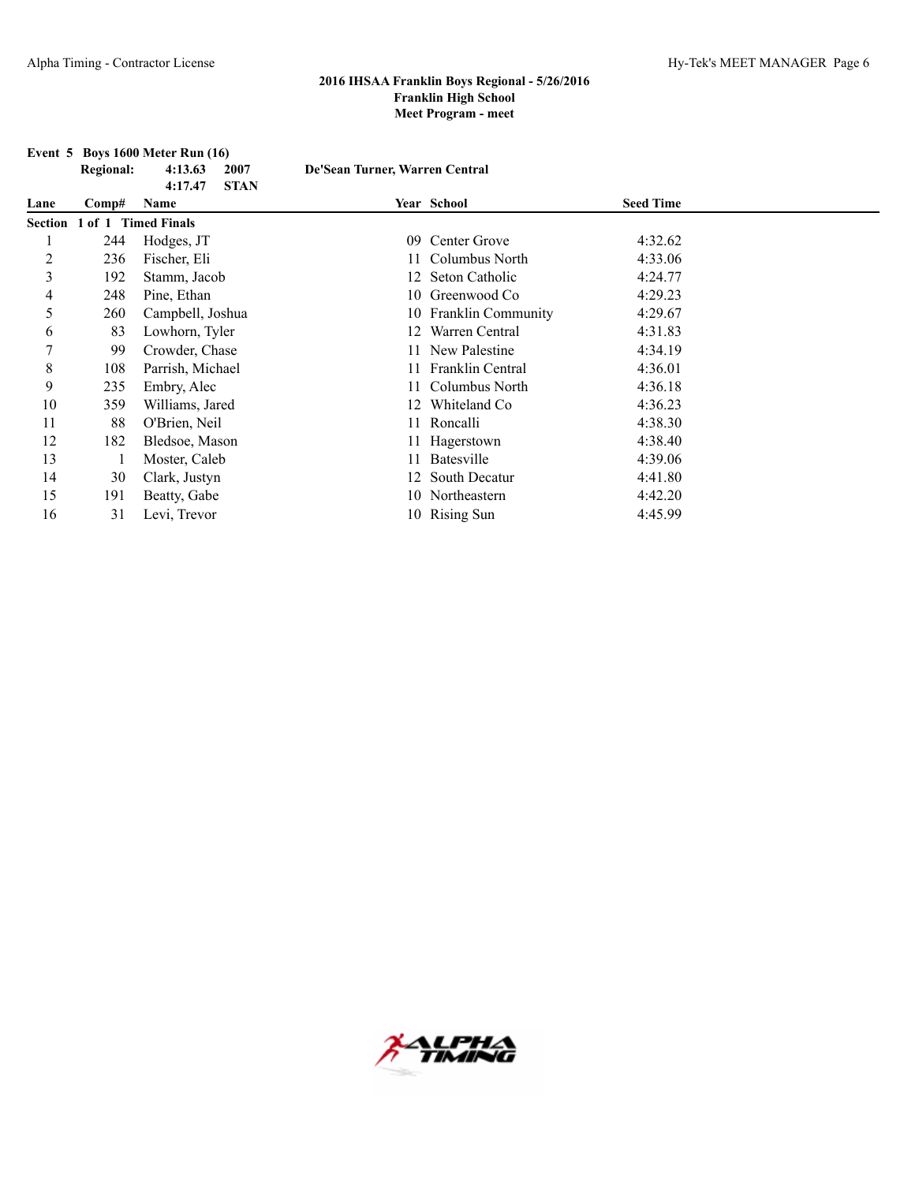|      |                  | Event $5$ Boys 1600 Meter Run $(16)$ |                                |                       |                  |  |
|------|------------------|--------------------------------------|--------------------------------|-----------------------|------------------|--|
|      | <b>Regional:</b> | 4:13.63<br>2007                      | De'Sean Turner, Warren Central |                       |                  |  |
|      |                  | 4:17.47<br><b>STAN</b>               |                                |                       |                  |  |
| Lane | Comp#            | Name                                 |                                | Year School           | <b>Seed Time</b> |  |
|      |                  | Section 1 of 1 Timed Finals          |                                |                       |                  |  |
|      | 244              | Hodges, JT                           | 09                             | Center Grove          | 4:32.62          |  |
| 2    | 236              | Fischer, Eli                         |                                | Columbus North        | 4:33.06          |  |
| 3    | 192              | Stamm, Jacob                         |                                | Seton Catholic        | 4:24.77          |  |
| 4    | 248              | Pine, Ethan                          | 10                             | Greenwood Co          | 4:29.23          |  |
| 5    | 260              | Campbell, Joshua                     |                                | 10 Franklin Community | 4:29.67          |  |
| 6    | 83               | Lowhorn, Tyler                       |                                | Warren Central        | 4:31.83          |  |
| 7    | 99               | Crowder, Chase                       |                                | New Palestine         | 4:34.19          |  |
| 8    | 108              | Parrish, Michael                     |                                | 11 Franklin Central   | 4:36.01          |  |
| 9    | 235              | Embry, Alec                          |                                | Columbus North        | 4:36.18          |  |
| 10   | 359              | Williams, Jared                      |                                | 12 Whiteland Co       | 4:36.23          |  |
| 11   | 88               | O'Brien, Neil                        |                                | 11 Roncalli           | 4:38.30          |  |
| 12   | 182              | Bledsoe, Mason                       |                                | 11 Hagerstown         | 4:38.40          |  |
| 13   |                  | Moster, Caleb                        |                                | Batesville            | 4:39.06          |  |
| 14   | 30               | Clark, Justyn                        |                                | South Decatur         | 4:41.80          |  |
| 15   | 191              | Beatty, Gabe                         |                                | 10 Northeastern       | 4:42.20          |  |
| 16   | 31               | Levi, Trevor                         |                                | 10 Rising Sun         | 4:45.99          |  |

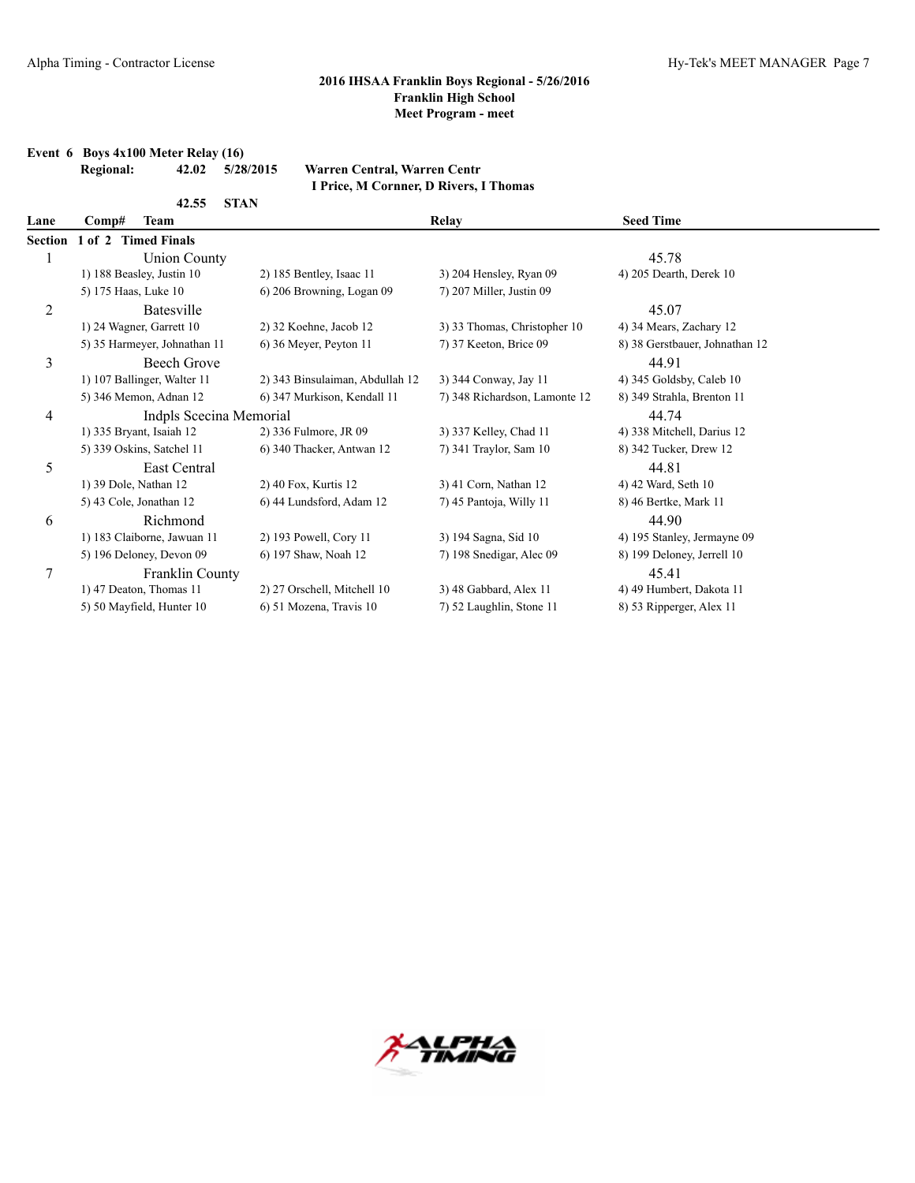**Event 6 Boys 4x100 Meter Relay (16)**

## **2016 IHSAA Franklin Boys Regional - 5/26/2016 Franklin High School Meet Program - meet**

|                | I Price, M Cornner, D Rivers, I Thomas |                              |                       |                                 |                               |                                |  |  |
|----------------|----------------------------------------|------------------------------|-----------------------|---------------------------------|-------------------------------|--------------------------------|--|--|
|                |                                        | 42.55                        | <b>STAN</b>           |                                 |                               |                                |  |  |
| Lane           | Comp#                                  | <b>Team</b>                  |                       |                                 | Relay                         | <b>Seed Time</b>               |  |  |
| <b>Section</b> |                                        | 1 of 2 Timed Finals          |                       |                                 |                               |                                |  |  |
|                |                                        | <b>Union County</b>          |                       |                                 |                               | 45.78                          |  |  |
|                |                                        | 1) 188 Beasley, Justin 10    |                       | 2) 185 Bentley, Isaac 11        | 3) 204 Hensley, Ryan 09       | 4) 205 Dearth, Derek 10        |  |  |
|                | 5) 175 Haas, Luke 10                   |                              |                       | 6) 206 Browning, Logan 09       | 7) 207 Miller, Justin 09      |                                |  |  |
| $\overline{c}$ |                                        | <b>Batesville</b>            |                       |                                 |                               | 45.07                          |  |  |
|                |                                        | 1) 24 Wagner, Garrett 10     |                       | 2) 32 Koehne, Jacob 12          | 3) 33 Thomas, Christopher 10  | 4) 34 Mears, Zachary 12        |  |  |
|                |                                        | 5) 35 Harmeyer, Johnathan 11 |                       | 6) 36 Meyer, Peyton 11          | 7) 37 Keeton, Brice 09        | 8) 38 Gerstbauer, Johnathan 12 |  |  |
| 3              |                                        | Beech Grove                  |                       |                                 |                               | 44.91                          |  |  |
|                |                                        | 1) 107 Ballinger, Walter 11  |                       | 2) 343 Binsulaiman, Abdullah 12 | 3) 344 Conway, Jay 11         | 4) 345 Goldsby, Caleb 10       |  |  |
|                |                                        | 5) 346 Memon, Adnan 12       |                       | 6) 347 Murkison, Kendall 11     | 7) 348 Richardson, Lamonte 12 | 8) 349 Strahla, Brenton 11     |  |  |
| 4              |                                        | Indpls Scecina Memorial      |                       |                                 |                               | 44.74                          |  |  |
|                |                                        | 1) 335 Bryant, Isaiah 12     | 2) 336 Fulmore, JR 09 |                                 | 3) 337 Kelley, Chad 11        | 4) 338 Mitchell, Darius 12     |  |  |
|                |                                        | 5) 339 Oskins, Satchel 11    |                       | 6) 340 Thacker, Antwan 12       | 7) 341 Traylor, Sam 10        | 8) 342 Tucker, Drew 12         |  |  |
| 5              |                                        | East Central                 |                       |                                 |                               | 44.81                          |  |  |
|                | 1) 39 Dole, Nathan 12                  |                              | 2) 40 Fox, Kurtis 12  |                                 | 3) 41 Corn, Nathan 12         | 4) 42 Ward, Seth 10            |  |  |
|                |                                        | 5) 43 Cole, Jonathan 12      |                       | 6) 44 Lundsford, Adam 12        | 7) 45 Pantoja, Willy 11       | 8) 46 Bertke, Mark 11          |  |  |
| 6              |                                        | Richmond                     |                       |                                 |                               | 44.90                          |  |  |
|                |                                        | 1) 183 Claiborne, Jawuan 11  |                       | 2) 193 Powell, Cory 11          | 3) 194 Sagna, Sid 10          | 4) 195 Stanley, Jermayne 09    |  |  |
|                |                                        | 5) 196 Deloney, Devon 09     | 6) 197 Shaw, Noah 12  |                                 | 7) 198 Snedigar, Alec 09      | 8) 199 Deloney, Jerrell 10     |  |  |
| 7              |                                        | Franklin County              |                       |                                 |                               | 45.41                          |  |  |
|                |                                        | 1) 47 Deaton, Thomas 11      |                       | 2) 27 Orschell, Mitchell 10     | 3) 48 Gabbard, Alex 11        | 4) 49 Humbert, Dakota 11       |  |  |
|                |                                        | 5) 50 Mayfield, Hunter 10    |                       | 6) 51 Mozena, Travis 10         | 7) 52 Laughlin, Stone 11      | 8) 53 Ripperger, Alex 11       |  |  |

**Regional: 42.02 5/28/2015 Warren Central, Warren Centr**

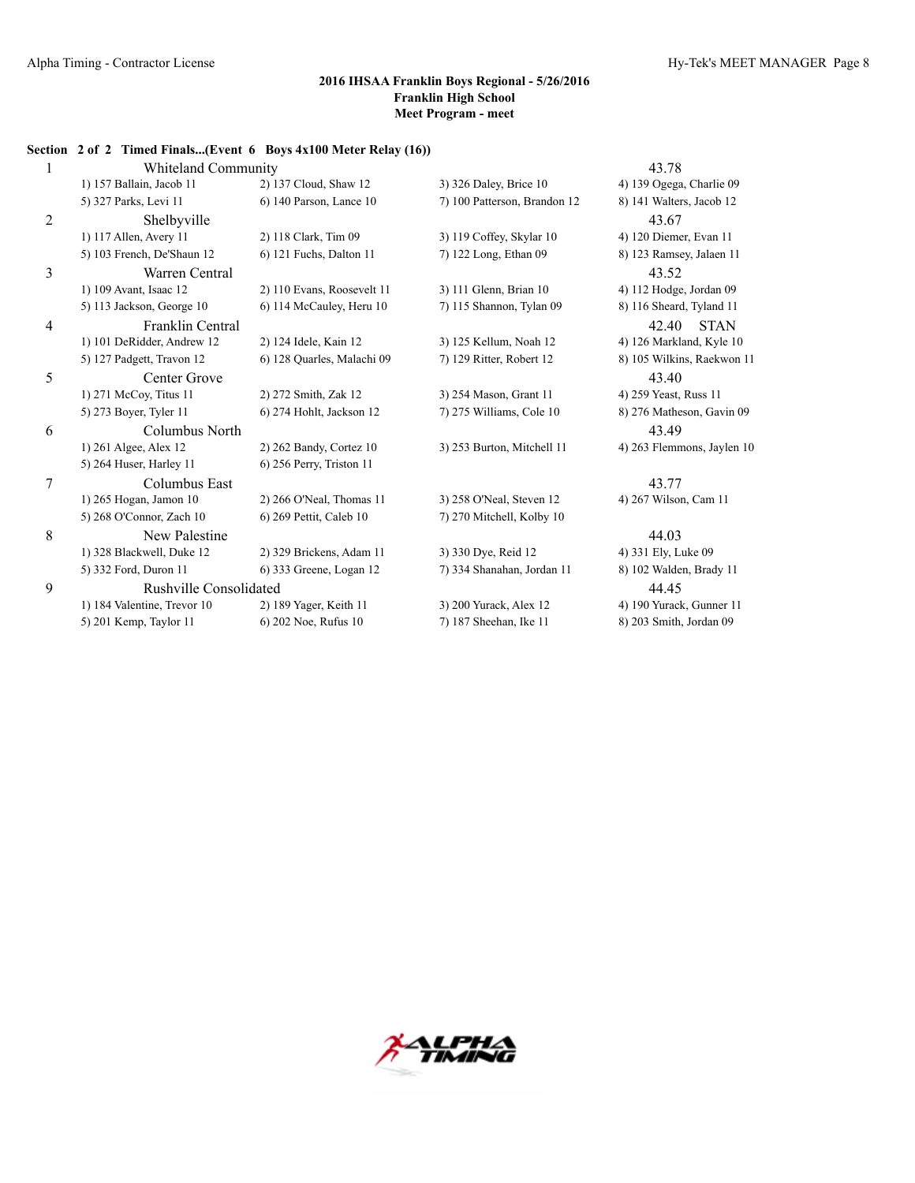## **Section 2 of 2 Timed Finals...(Event 6 Boys 4x100 Meter Relay (16))**

| $\mathbf{1}$   | Whiteland Community         |                             |                              | 43.78                      |
|----------------|-----------------------------|-----------------------------|------------------------------|----------------------------|
|                | 1) 157 Ballain, Jacob 11    | 2) 137 Cloud, Shaw 12       | 3) 326 Daley, Brice 10       | 4) 139 Ogega, Charlie 09   |
|                | 5) 327 Parks, Levi 11       | 6) 140 Parson, Lance 10     | 7) 100 Patterson, Brandon 12 | 8) 141 Walters, Jacob 12   |
| $\overline{2}$ | Shelbyville                 |                             |                              | 43.67                      |
|                | 1) 117 Allen, Avery 11      | 2) 118 Clark, Tim 09        | 3) 119 Coffey, Skylar 10     | 4) 120 Diemer, Evan 11     |
|                | 5) 103 French, De'Shaun 12  | 6) 121 Fuchs, Dalton 11     | 7) 122 Long, Ethan 09        | 8) 123 Ramsey, Jalaen 11   |
| 3              | Warren Central              |                             |                              | 43.52                      |
|                | 1) 109 Avant, Isaac 12      | 2) 110 Evans, Roosevelt 11  | 3) 111 Glenn, Brian 10       | 4) 112 Hodge, Jordan 09    |
|                | 5) 113 Jackson, George 10   | 6) 114 McCauley, Heru 10    | 7) 115 Shannon, Tylan 09     | 8) 116 Sheard, Tyland 11   |
| 4              | Franklin Central            |                             |                              | 42.40<br><b>STAN</b>       |
|                | 1) 101 DeRidder, Andrew 12  | 2) 124 Idele, Kain 12       | 3) 125 Kellum, Noah 12       | 4) 126 Markland, Kyle 10   |
|                | 5) 127 Padgett, Travon 12   | 6) 128 Quarles, Malachi 09  | 7) 129 Ritter, Robert 12     | 8) 105 Wilkins, Raekwon 11 |
| 5              | Center Grove                |                             |                              | 43.40                      |
|                | 1) 271 McCoy, Titus 11      | 2) 272 Smith, Zak 12        | 3) 254 Mason, Grant 11       | 4) 259 Yeast, Russ 11      |
|                | 5) 273 Boyer, Tyler 11      | 6) 274 Hohlt, Jackson 12    | 7) 275 Williams, Cole 10     | 8) 276 Matheson, Gavin 09  |
| 6              | Columbus North              |                             |                              | 43.49                      |
|                | 1) 261 Algee, Alex 12       | 2) 262 Bandy, Cortez 10     | 3) 253 Burton, Mitchell 11   | 4) 263 Flemmons, Jaylen 10 |
|                | 5) 264 Huser, Harley 11     | $6$ ) 256 Perry, Triston 11 |                              |                            |
| 7              | Columbus East               |                             |                              | 43.77                      |
|                | 1) 265 Hogan, Jamon 10      | 2) 266 O'Neal, Thomas 11    | 3) 258 O'Neal, Steven 12     | 4) 267 Wilson, Cam 11      |
|                | 5) 268 O'Connor, Zach 10    | 6) 269 Pettit, Caleb 10     | 7) 270 Mitchell, Kolby 10    |                            |
| 8              | New Palestine               |                             |                              | 44.03                      |
|                | 1) 328 Blackwell, Duke 12   | 2) 329 Brickens, Adam 11    | 3) 330 Dye, Reid 12          | 4) 331 Ely, Luke 09        |
|                | 5) 332 Ford, Duron 11       | 6) 333 Greene, Logan 12     | 7) 334 Shanahan, Jordan 11   | 8) 102 Walden, Brady 11    |
| 9              | Rushville Consolidated      |                             |                              | 44.45                      |
|                | 1) 184 Valentine, Trevor 10 | 2) 189 Yager, Keith 11      | 3) 200 Yurack, Alex 12       | 4) 190 Yurack, Gunner 11   |
|                | 5) 201 Kemp, Taylor 11      | 6) 202 Noe, Rufus 10        | 7) 187 Sheehan, Ike 11       | 8) 203 Smith, Jordan 09    |

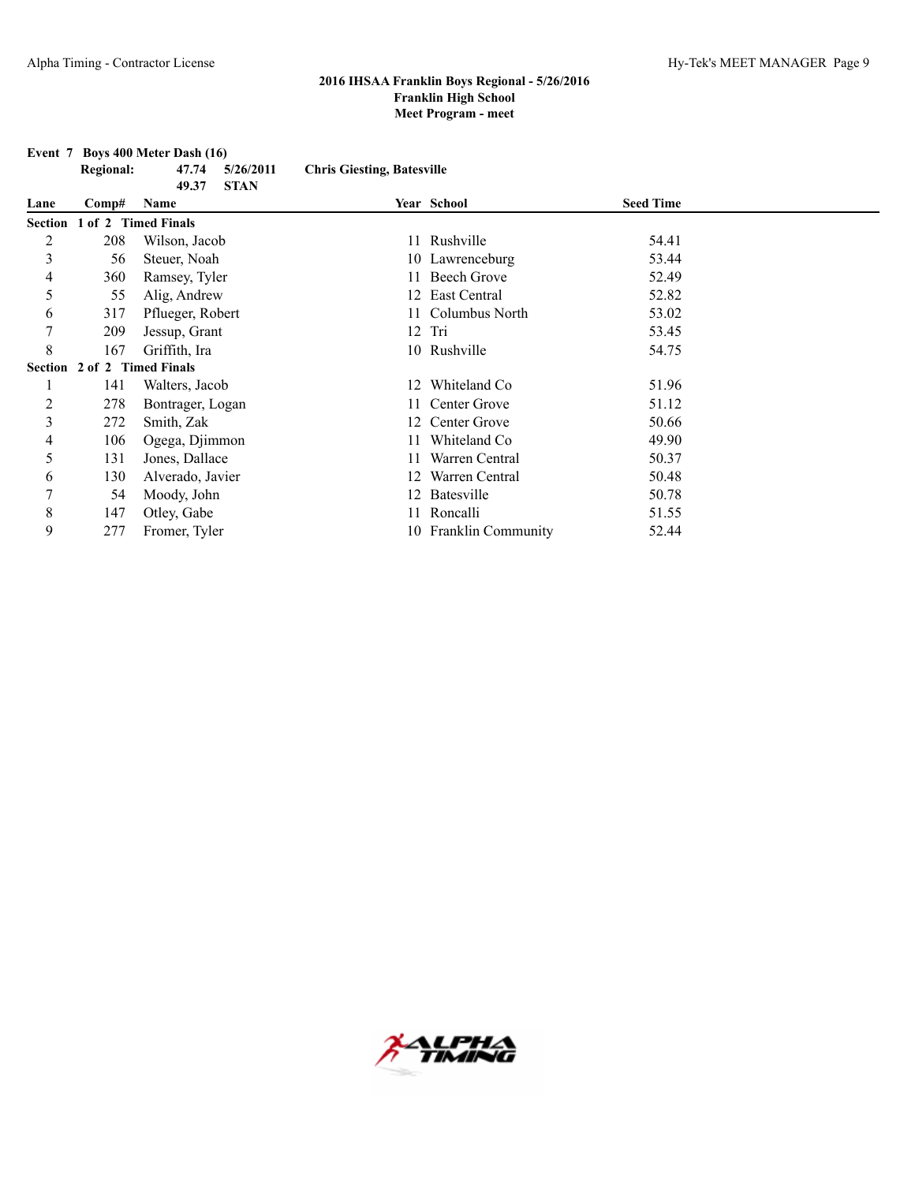**Event 7 Boys 400 Meter Dash (16) Regional: 47.74 5/26/2011 Chris Giesting, Batesville 49.37 STAN**

| Lane | $\bf Comp#$                 | Name             |    | Year School           | <b>Seed Time</b> |  |
|------|-----------------------------|------------------|----|-----------------------|------------------|--|
|      | Section 1 of 2 Timed Finals |                  |    |                       |                  |  |
| 2    | 208                         | Wilson, Jacob    | 11 | Rushville             | 54.41            |  |
| 3    | 56                          | Steuer, Noah     |    | 10 Lawrenceburg       | 53.44            |  |
| 4    | 360                         | Ramsey, Tyler    |    | <b>Beech Grove</b>    | 52.49            |  |
| 5    | 55                          | Alig, Andrew     |    | 12 East Central       | 52.82            |  |
| 6    | 317                         | Pflueger, Robert |    | Columbus North        | 53.02            |  |
| 7    | 209                         | Jessup, Grant    |    | $12$ Tri              | 53.45            |  |
| 8    | 167                         | Griffith, Ira    |    | 10 Rushville          | 54.75            |  |
|      | Section 2 of 2 Timed Finals |                  |    |                       |                  |  |
|      | 141                         | Walters, Jacob   | 12 | Whiteland Co          | 51.96            |  |
| 2    | 278                         | Bontrager, Logan |    | 11 Center Grove       | 51.12            |  |
| 3    | 272                         | Smith, Zak       |    | 12 Center Grove       | 50.66            |  |
| 4    | 106                         | Ogega, Djimmon   |    | Whiteland Co          | 49.90            |  |
| 5    | 131                         | Jones, Dallace   |    | Warren Central        | 50.37            |  |
| 6    | 130                         | Alverado, Javier |    | Warren Central        | 50.48            |  |
| 7    | 54                          | Moody, John      |    | Batesville            | 50.78            |  |
| 8    | 147                         | Otley, Gabe      |    | Roncalli              | 51.55            |  |
| 9    | 277                         | Fromer, Tyler    |    | 10 Franklin Community | 52.44            |  |

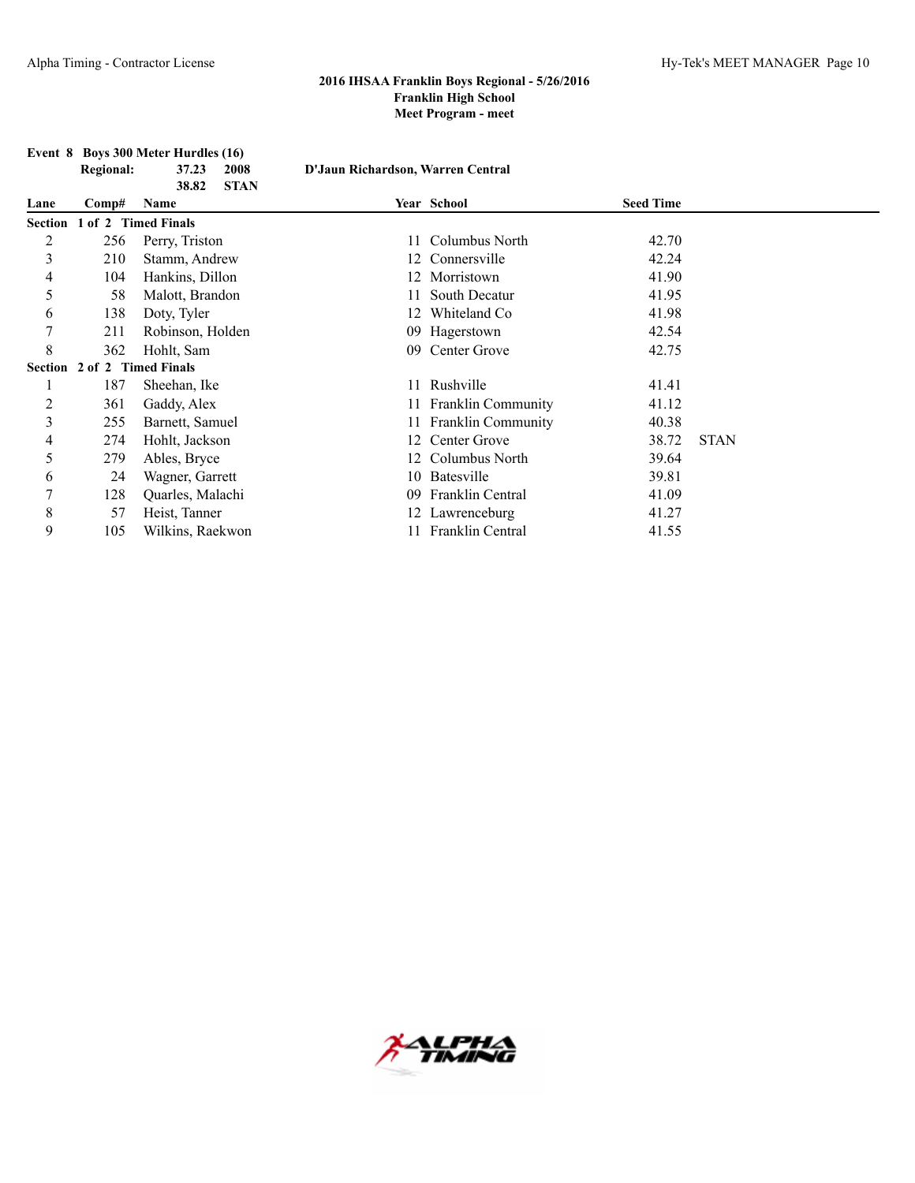|                |                             | Event 8 Boys 300 Meter Hurdles (16) |                                   |                       |                  |             |
|----------------|-----------------------------|-------------------------------------|-----------------------------------|-----------------------|------------------|-------------|
|                | <b>Regional:</b>            | 37.23<br>2008                       | D'Jaun Richardson, Warren Central |                       |                  |             |
|                |                             | <b>STAN</b><br>38.82                |                                   |                       |                  |             |
| Lane           | Comp#                       | Name                                |                                   | Year School           | <b>Seed Time</b> |             |
| <b>Section</b> | 1 of 2 Timed Finals         |                                     |                                   |                       |                  |             |
| 2              | 256                         | Perry, Triston                      | 11                                | Columbus North        | 42.70            |             |
| 3              | 210                         | Stamm, Andrew                       | 12                                | Connersville          | 42.24            |             |
| 4              | 104                         | Hankins, Dillon                     |                                   | Morristown            | 41.90            |             |
| 5              | 58                          | Malott, Brandon                     |                                   | South Decatur         | 41.95            |             |
| 6              | 138                         | Doty, Tyler                         |                                   | Whiteland Co          | 41.98            |             |
| 7              | 211                         | Robinson, Holden                    | 09                                | Hagerstown            | 42.54            |             |
| 8              | 362                         | Hohlt, Sam                          | 09                                | Center Grove          | 42.75            |             |
|                | Section 2 of 2 Timed Finals |                                     |                                   |                       |                  |             |
|                | 187                         | Sheehan, Ike                        |                                   | 11 Rushville          | 41.41            |             |
| 2              | 361                         | Gaddy, Alex                         |                                   | 11 Franklin Community | 41.12            |             |
| 3              | 255                         | Barnett, Samuel                     |                                   | 11 Franklin Community | 40.38            |             |
| 4              | 274                         | Hohlt, Jackson                      | 12                                | Center Grove          | 38.72            | <b>STAN</b> |
| 5              | 279                         | Ables, Bryce                        |                                   | Columbus North        | 39.64            |             |
| 6              | 24                          | Wagner, Garrett                     |                                   | 10 Batesville         | 39.81            |             |
| 7              | 128                         | Quarles, Malachi                    | 09                                | Franklin Central      | 41.09            |             |
| 8              | 57                          | Heist, Tanner                       |                                   | 12 Lawrenceburg       | 41.27            |             |
| 9              | 105                         | Wilkins, Raekwon                    |                                   | 11 Franklin Central   | 41.55            |             |

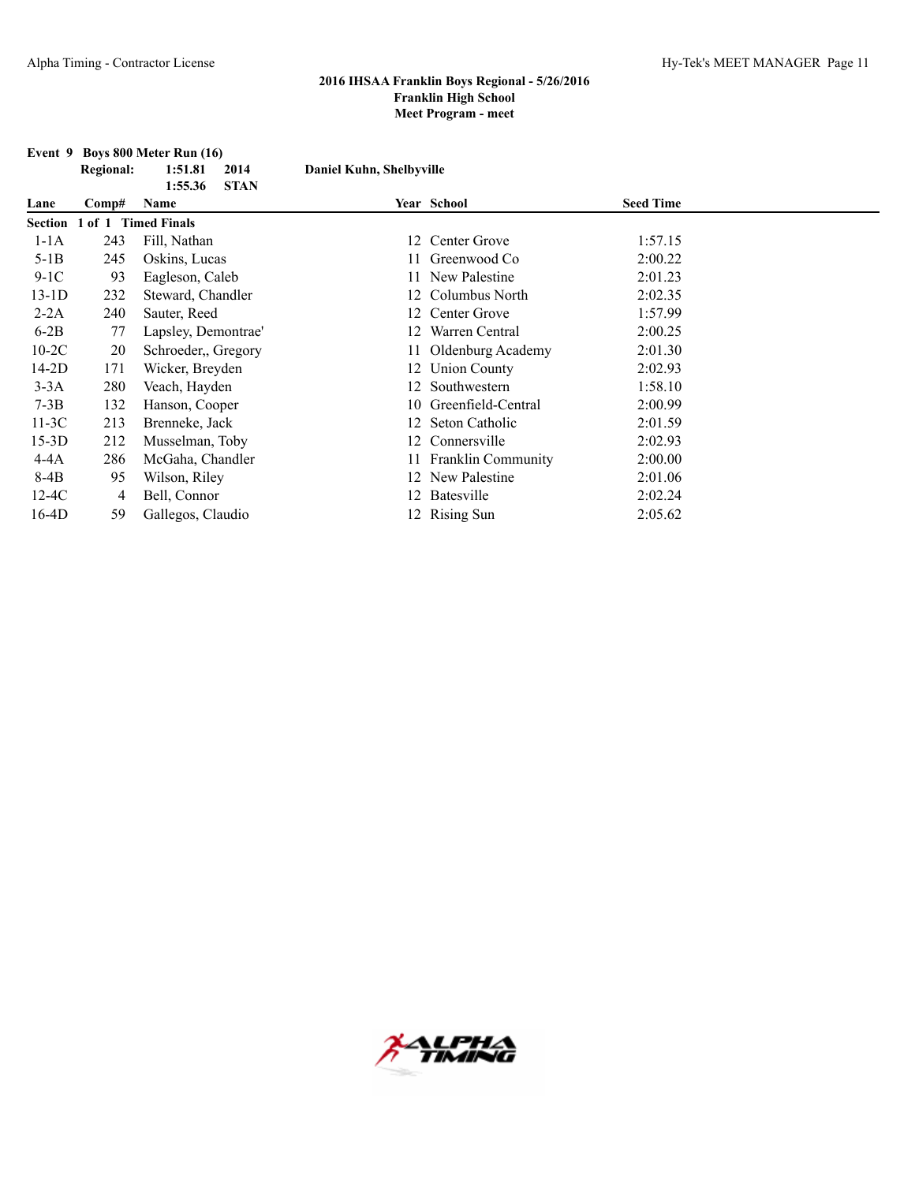|         |                             | Event 9 Boys 800 Meter Run (16) |                          |                       |                  |  |
|---------|-----------------------------|---------------------------------|--------------------------|-----------------------|------------------|--|
|         | <b>Regional:</b>            | 1:51.81<br>2014                 | Daniel Kuhn, Shelbyville |                       |                  |  |
|         |                             | 1:55.36<br><b>STAN</b>          |                          |                       |                  |  |
| Lane    | Comp#                       | Name                            |                          | Year School           | <b>Seed Time</b> |  |
|         | Section 1 of 1 Timed Finals |                                 |                          |                       |                  |  |
| $1-1A$  | 243                         | Fill, Nathan                    |                          | 12 Center Grove       | 1:57.15          |  |
| $5-1B$  | 245                         | Oskins, Lucas                   |                          | Greenwood Co          | 2:00.22          |  |
| $9-1C$  | 93                          | Eagleson, Caleb                 |                          | 11 New Palestine      | 2:01.23          |  |
| $13-1D$ | 232                         | Steward, Chandler               | 12                       | Columbus North        | 2:02.35          |  |
| $2-2A$  | 240                         | Sauter, Reed                    |                          | 12 Center Grove       | 1:57.99          |  |
| $6-2B$  | 77                          | Lapsley, Demontrae'             |                          | Warren Central        | 2:00.25          |  |
| $10-2C$ | 20                          | Schroeder, Gregory              |                          | 11 Oldenburg Academy  | 2:01.30          |  |
| $14-2D$ | 171                         | Wicker, Breyden                 |                          | 12 Union County       | 2:02.93          |  |
| $3-3A$  | 280                         | Veach, Hayden                   |                          | 12 Southwestern       | 1:58.10          |  |
| $7-3B$  | 132                         | Hanson, Cooper                  | 10                       | Greenfield-Central    | 2:00.99          |  |
| $11-3C$ | 213                         | Brenneke, Jack                  |                          | Seton Catholic        | 2:01.59          |  |
| $15-3D$ | 212                         | Musselman, Toby                 |                          | Connersville          | 2:02.93          |  |
| 4-4A    | 286                         | McGaha, Chandler                |                          | 11 Franklin Community | 2:00.00          |  |
| 8-4B    | 95                          | Wilson, Riley                   |                          | 12 New Palestine      | 2:01.06          |  |
| $12-4C$ | 4                           | Bell, Connor                    |                          | 12 Batesville         | 2:02.24          |  |
| $16-4D$ | 59                          | Gallegos, Claudio               |                          | 12 Rising Sun         | 2:05.62          |  |

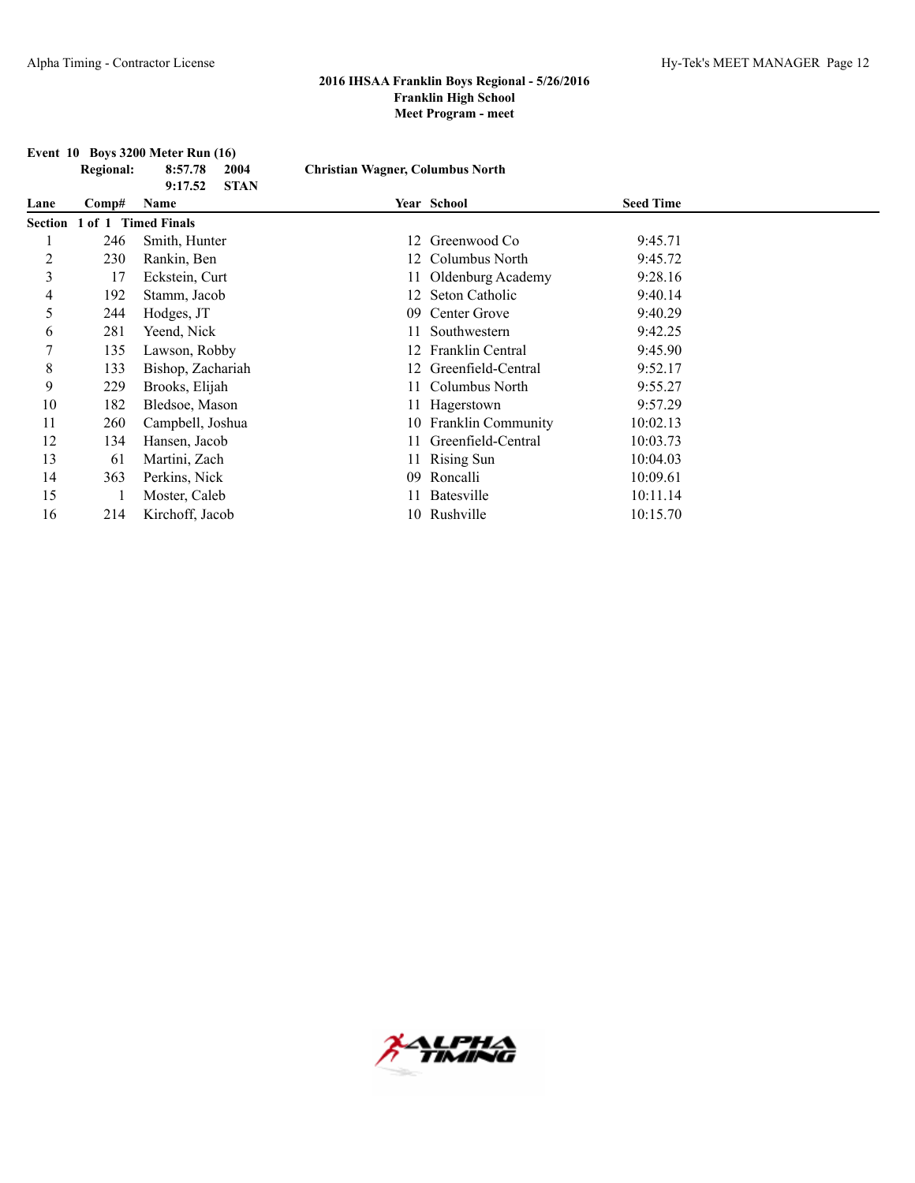|         |                  | <b>Event 10 Boys 3200 Meter Run (16)</b> |                                         |                       |                  |  |
|---------|------------------|------------------------------------------|-----------------------------------------|-----------------------|------------------|--|
|         | <b>Regional:</b> | 8:57.78<br>2004                          | <b>Christian Wagner, Columbus North</b> |                       |                  |  |
|         |                  | <b>STAN</b><br>9:17.52                   |                                         |                       |                  |  |
| Lane    | Comp#            | Name                                     |                                         | Year School           | <b>Seed Time</b> |  |
| Section |                  | 1 of 1 Timed Finals                      |                                         |                       |                  |  |
|         | 246              | Smith, Hunter                            | 12                                      | Greenwood Co          | 9:45.71          |  |
| 2       | 230              | Rankin, Ben                              |                                         | Columbus North        | 9:45.72          |  |
| 3       | 17               | Eckstein, Curt                           |                                         | Oldenburg Academy     | 9:28.16          |  |
| 4       | 192              | Stamm, Jacob                             |                                         | Seton Catholic        | 9:40.14          |  |
| 5       | 244              | Hodges, JT                               | 09                                      | Center Grove          | 9:40.29          |  |
| 6       | 281              | Yeend, Nick                              |                                         | Southwestern          | 9:42.25          |  |
| 7       | 135              | Lawson, Robby                            |                                         | Franklin Central      | 9:45.90          |  |
| 8       | 133              | Bishop, Zachariah                        |                                         | Greenfield-Central    | 9:52.17          |  |
| 9       | 229              | Brooks, Elijah                           |                                         | Columbus North        | 9:55.27          |  |
| 10      | 182              | Bledsoe, Mason                           |                                         | 11 Hagerstown         | 9:57.29          |  |
| 11      | 260              | Campbell, Joshua                         |                                         | 10 Franklin Community | 10:02.13         |  |
| 12      | 134              | Hansen, Jacob                            |                                         | Greenfield-Central    | 10:03.73         |  |
| 13      | 61               | Martini, Zach                            |                                         | 11 Rising Sun         | 10:04.03         |  |
| 14      | 363              | Perkins, Nick                            | 09                                      | Roncalli              | 10:09.61         |  |
| 15      |                  | Moster, Caleb                            |                                         | Batesville            | 10:11.14         |  |
| 16      | 214              | Kirchoff, Jacob                          |                                         | 10 Rushville          | 10:15.70         |  |

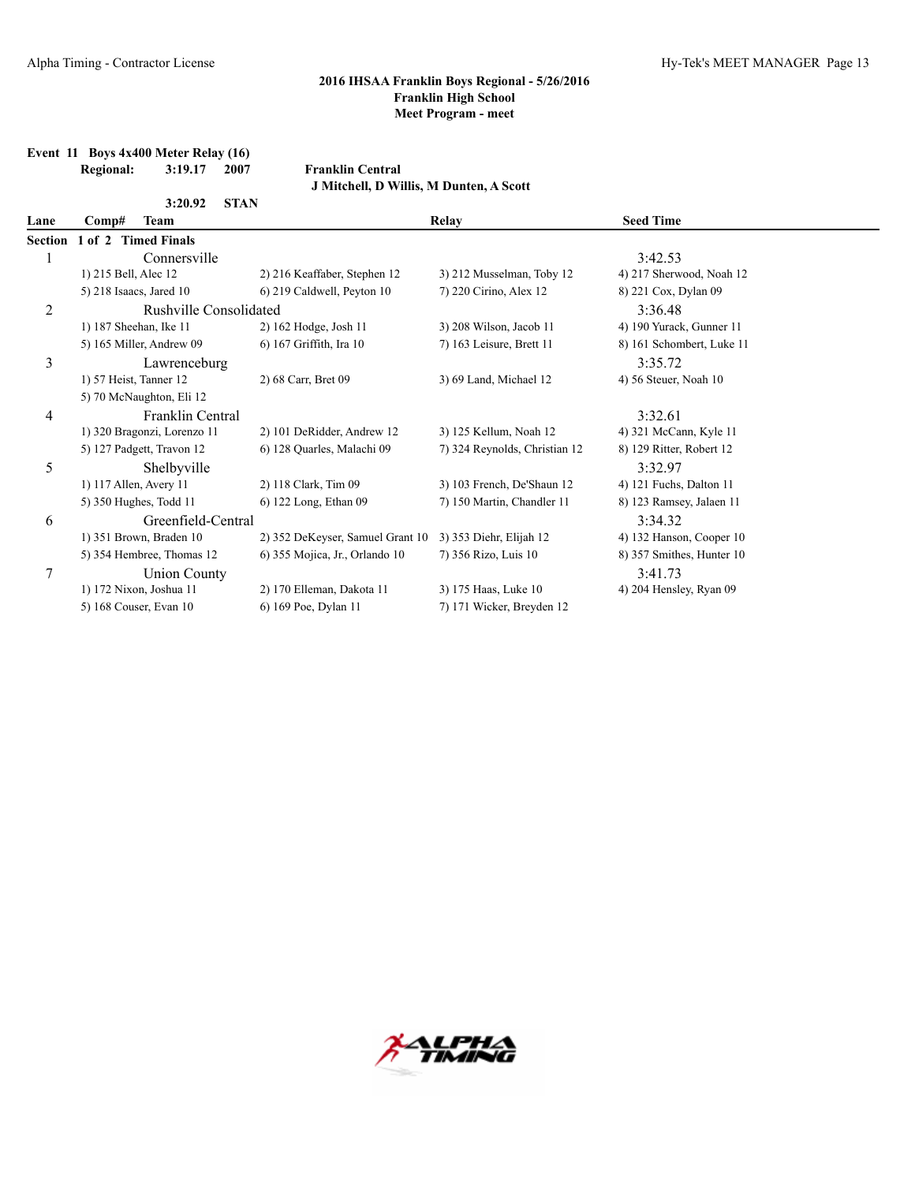**Event 11 Boys 4x400 Meter Relay (16)**

|                | <b>Regional:</b>        | 3:19.17                     | 2007        | <b>Franklin Central</b>                 |                               |                           |  |
|----------------|-------------------------|-----------------------------|-------------|-----------------------------------------|-------------------------------|---------------------------|--|
|                |                         |                             |             | J Mitchell, D Willis, M Dunten, A Scott |                               |                           |  |
|                |                         | 3:20.92                     | <b>STAN</b> |                                         |                               |                           |  |
| Lane           | Comp#                   | <b>Team</b>                 |             |                                         | Relay                         | <b>Seed Time</b>          |  |
| <b>Section</b> |                         | 1 of 2 Timed Finals         |             |                                         |                               |                           |  |
| 1              |                         | Connersville                |             |                                         |                               | 3:42.53                   |  |
|                | 1) 215 Bell, Alec 12    |                             |             | 2) 216 Keaffaber, Stephen 12            | 3) 212 Musselman, Toby 12     | 4) 217 Sherwood, Noah 12  |  |
|                | 5) 218 Isaacs, Jared 10 |                             |             | 6) 219 Caldwell, Peyton 10              | 7) 220 Cirino, Alex 12        | 8) 221 Cox, Dylan 09      |  |
| $\overline{c}$ |                         | Rushville Consolidated      |             |                                         |                               | 3:36.48                   |  |
|                | 1) 187 Sheehan, Ike 11  |                             |             | 2) 162 Hodge, Josh 11                   | 3) 208 Wilson, Jacob 11       | 4) 190 Yurack, Gunner 11  |  |
|                |                         | 5) 165 Miller, Andrew 09    |             | 6) 167 Griffith, Ira 10                 | 7) 163 Leisure, Brett 11      | 8) 161 Schombert, Luke 11 |  |
| 3              |                         | Lawrenceburg                |             |                                         |                               | 3:35.72                   |  |
|                | 1) 57 Heist, Tanner 12  |                             |             | 2) 68 Carr, Bret 09                     | 3) 69 Land, Michael 12        | 4) 56 Steuer, Noah 10     |  |
|                |                         | 5) 70 McNaughton, Eli 12    |             |                                         |                               |                           |  |
| 4              |                         | Franklin Central            |             |                                         |                               | 3:32.61                   |  |
|                |                         | 1) 320 Bragonzi, Lorenzo 11 |             | 2) 101 DeRidder, Andrew 12              | 3) 125 Kellum, Noah 12        | 4) 321 McCann, Kyle 11    |  |
|                |                         | 5) 127 Padgett, Travon 12   |             | 6) 128 Quarles, Malachi 09              | 7) 324 Reynolds, Christian 12 | 8) 129 Ritter, Robert 12  |  |
| 5              |                         | Shelbyville                 |             |                                         |                               | 3:32.97                   |  |
|                | 1) 117 Allen, Avery 11  |                             |             | 2) 118 Clark, Tim 09                    | 3) 103 French, De'Shaun 12    | 4) 121 Fuchs, Dalton 11   |  |
|                |                         | 5) 350 Hughes, Todd 11      |             | 6) 122 Long, Ethan 09                   | 7) 150 Martin, Chandler 11    | 8) 123 Ramsey, Jalaen 11  |  |
| 6              |                         | Greenfield-Central          |             |                                         |                               | 3:34.32                   |  |
|                |                         | 1) 351 Brown, Braden 10     |             | 2) 352 DeKeyser, Samuel Grant 10        | 3) 353 Diehr, Elijah 12       | 4) 132 Hanson, Cooper 10  |  |
|                |                         | 5) 354 Hembree, Thomas 12   |             | 6) 355 Mojica, Jr., Orlando 10          | 7) 356 Rizo, Luis 10          | 8) 357 Smithes, Hunter 10 |  |
| 7              |                         | <b>Union County</b>         |             |                                         |                               | 3:41.73                   |  |
|                |                         | 1) 172 Nixon, Joshua 11     |             | 2) 170 Elleman, Dakota 11               | 3) 175 Haas, Luke 10          | 4) 204 Hensley, Ryan 09   |  |
|                |                         | 5) 168 Couser, Evan 10      |             | 6) 169 Poe, Dylan 11                    | 7) 171 Wicker, Breyden 12     |                           |  |

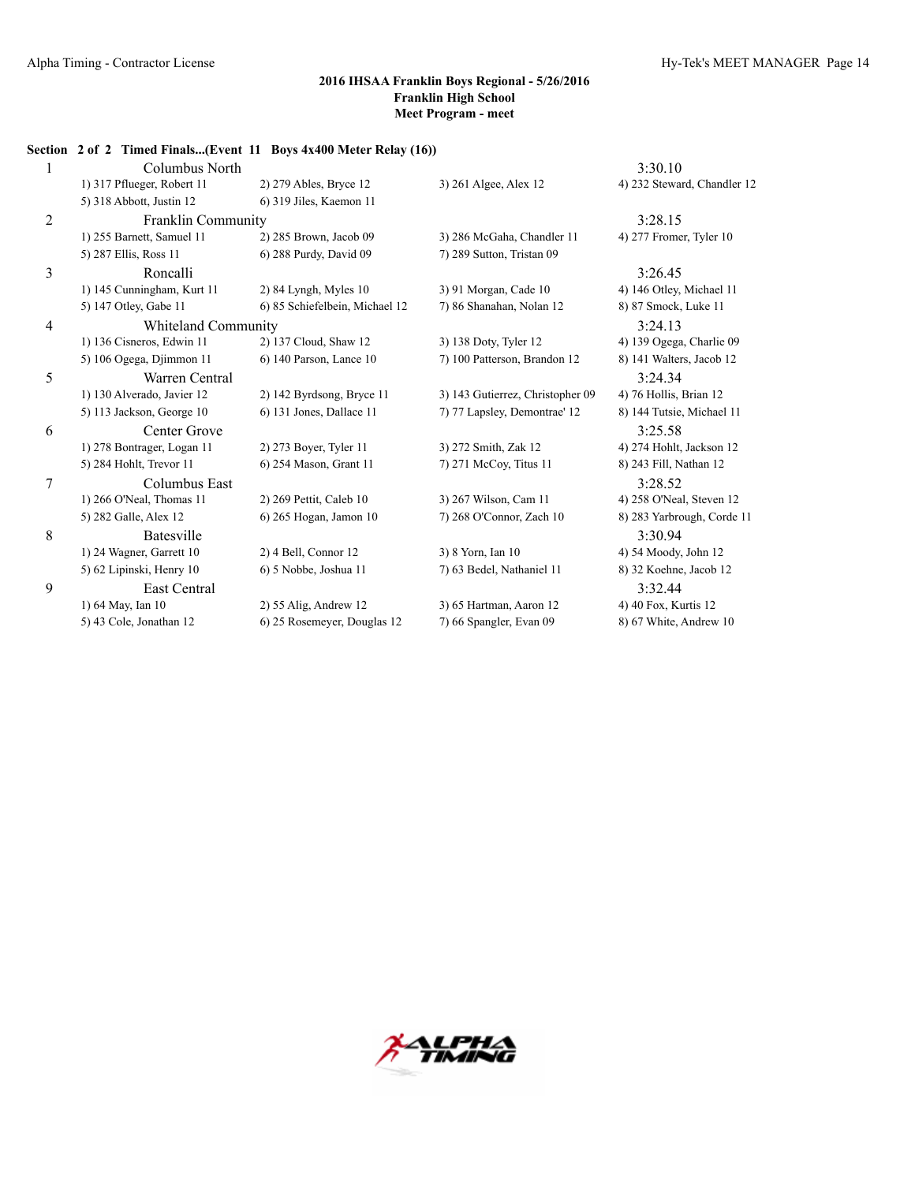|   | Section 2 of 2 Timed Finals(Event 11 Boys 4x400 Meter Relay (16)) |                                |                                  |                             |
|---|-------------------------------------------------------------------|--------------------------------|----------------------------------|-----------------------------|
|   | Columbus North                                                    |                                |                                  | 3:30.10                     |
|   | 1) 317 Pflueger, Robert 11                                        | 2) 279 Ables, Bryce 12         | 3) 261 Algee, Alex 12            | 4) 232 Steward, Chandler 12 |
|   | 5) 318 Abbott, Justin 12                                          | 6) 319 Jiles, Kaemon 11        |                                  |                             |
| 2 | Franklin Community                                                |                                |                                  | 3:28.15                     |
|   | 1) 255 Barnett, Samuel 11                                         | 2) 285 Brown, Jacob 09         | 3) 286 McGaha, Chandler 11       | 4) 277 Fromer, Tyler 10     |
|   | 5) 287 Ellis, Ross 11                                             | 6) 288 Purdy, David 09         | 7) 289 Sutton, Tristan 09        |                             |
| 3 | Roncalli                                                          |                                |                                  | 3:26.45                     |
|   | 1) 145 Cunningham, Kurt 11                                        | $2)$ 84 Lyngh, Myles 10        | 3) 91 Morgan, Cade 10            | 4) 146 Otley, Michael 11    |
|   | 5) 147 Otley, Gabe 11                                             | 6) 85 Schiefelbein, Michael 12 | 7) 86 Shanahan, Nolan 12         | 8) 87 Smock, Luke 11        |
| 4 | Whiteland Community                                               |                                |                                  | 3:24.13                     |
|   | 1) 136 Cisneros, Edwin 11                                         | 2) 137 Cloud, Shaw 12          | 3) 138 Doty, Tyler 12            | 4) 139 Ogega, Charlie 09    |
|   | 5) 106 Ogega, Djimmon 11                                          | 6) 140 Parson, Lance 10        | 7) 100 Patterson, Brandon 12     | 8) 141 Walters, Jacob 12    |
| 5 | Warren Central                                                    |                                |                                  | 3:24.34                     |
|   | 1) 130 Alverado, Javier 12                                        | 2) 142 Byrdsong, Bryce 11      | 3) 143 Gutierrez, Christopher 09 | 4) 76 Hollis, Brian 12      |
|   | 5) 113 Jackson, George 10                                         | 6) 131 Jones, Dallace 11       | 7) 77 Lapsley, Demontrae' 12     | 8) 144 Tutsie, Michael 11   |
| 6 | Center Grove                                                      |                                |                                  | 3:25.58                     |
|   | 1) 278 Bontrager, Logan 11                                        | 2) 273 Boyer, Tyler 11         | 3) 272 Smith, Zak 12             | 4) 274 Hohlt, Jackson 12    |
|   | 5) 284 Hohlt, Trevor 11                                           | 6) 254 Mason, Grant 11         | 7) 271 McCoy, Titus 11           | 8) 243 Fill, Nathan 12      |
| 7 | Columbus East                                                     |                                |                                  | 3:28.52                     |
|   | 1) 266 O'Neal, Thomas 11                                          | 2) 269 Pettit, Caleb 10        | 3) 267 Wilson, Cam 11            | 4) 258 O'Neal, Steven 12    |
|   | 5) 282 Galle, Alex 12                                             | 6) 265 Hogan, Jamon 10         | 7) 268 O'Connor, Zach 10         | 8) 283 Yarbrough, Corde 11  |
| 8 | Batesville                                                        |                                |                                  | 3:30.94                     |
|   | 1) 24 Wagner, Garrett 10                                          | 2) 4 Bell, Connor 12           | 3) 8 Yorn, Ian 10                | 4) 54 Moody, John 12        |
|   | 5) 62 Lipinski, Henry 10                                          | 6) 5 Nobbe, Joshua 11          | 7) 63 Bedel, Nathaniel 11        | 8) 32 Koehne, Jacob 12      |
| 9 | East Central                                                      |                                |                                  | 3:32.44                     |
|   | 1) 64 May, Ian 10                                                 | $2)$ 55 Alig, Andrew 12        | 3) 65 Hartman, Aaron 12          | 4) 40 Fox, Kurtis 12        |
|   | 5) 43 Cole, Jonathan 12                                           | 6) 25 Rosemeyer, Douglas 12    | 7) 66 Spangler, Evan 09          | 8) 67 White, Andrew 10      |

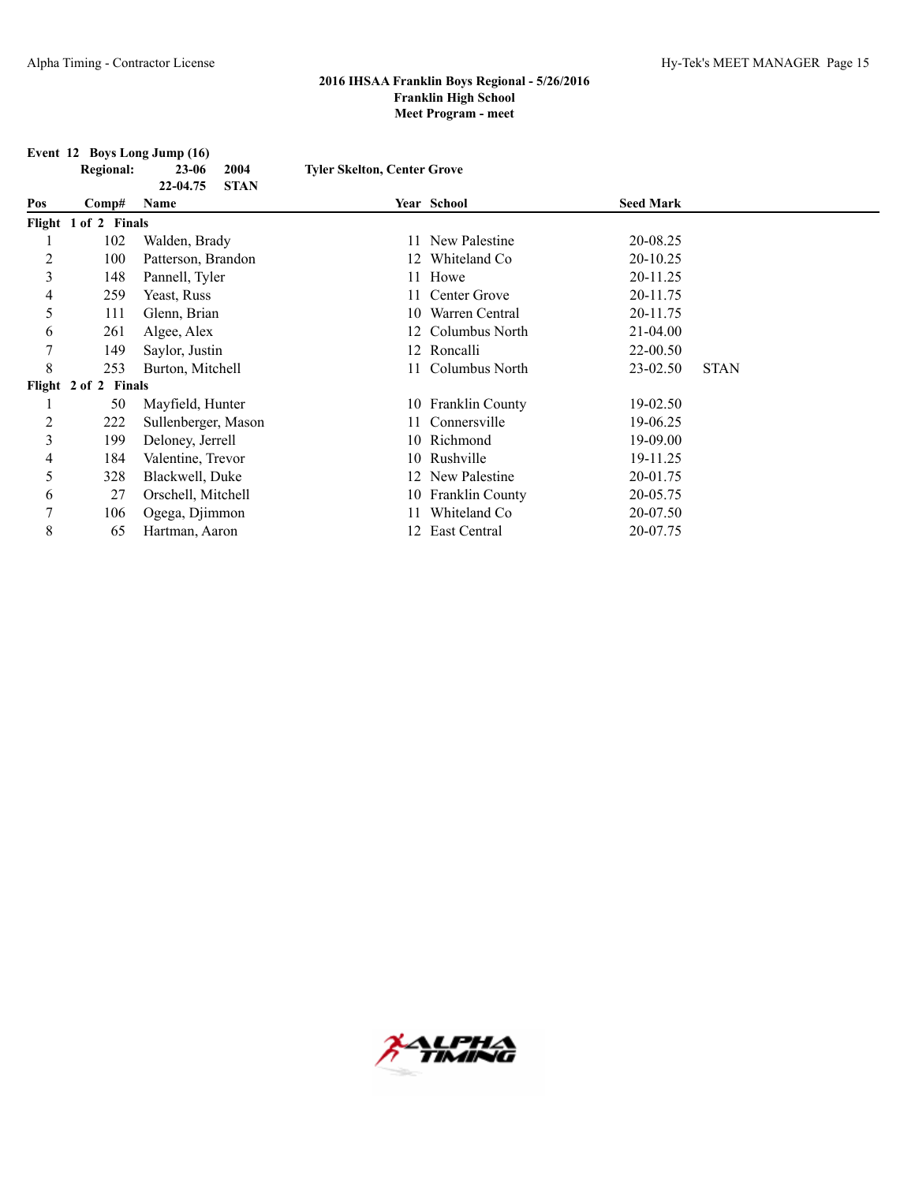|  |  |  | Event 12 Boys Long Jump (16) |  |
|--|--|--|------------------------------|--|
|--|--|--|------------------------------|--|

|                | <b>Regional:</b>     | $23 - 06$<br>2004                      | <b>Tyler Skelton, Center Grove</b> |                    |                  |             |
|----------------|----------------------|----------------------------------------|------------------------------------|--------------------|------------------|-------------|
| Pos            | Comp#                | 22-04.75<br><b>STAN</b><br><b>Name</b> |                                    | Year School        | <b>Seed Mark</b> |             |
|                | Flight 1 of 2 Finals |                                        |                                    |                    |                  |             |
|                | 102                  | Walden, Brady                          | 11                                 | New Palestine      | 20-08.25         |             |
| 2              | 100                  | Patterson, Brandon                     |                                    | 12 Whiteland Co    | 20-10.25         |             |
| 3              | 148                  | Pannell, Tyler                         |                                    | 11 Howe            | 20-11.25         |             |
| 4              | 259                  | Yeast, Russ                            | 11                                 | Center Grove       | 20-11.75         |             |
| 5              | 111                  | Glenn, Brian                           | 10                                 | Warren Central     | 20-11.75         |             |
| 6              | 261                  | Algee, Alex                            | 12                                 | Columbus North     | $21 - 04.00$     |             |
| 7              | 149                  | Saylor, Justin                         |                                    | 12 Roncalli        | 22-00.50         |             |
| 8              | 253                  | Burton, Mitchell                       |                                    | 11 Columbus North  | 23-02.50         | <b>STAN</b> |
|                | Flight 2 of 2 Finals |                                        |                                    |                    |                  |             |
|                | 50                   | Mayfield, Hunter                       |                                    | 10 Franklin County | 19-02.50         |             |
| $\overline{c}$ | 222                  | Sullenberger, Mason                    | 11                                 | Connersville       | 19-06.25         |             |
| 3              | 199                  | Deloney, Jerrell                       |                                    | 10 Richmond        | 19-09.00         |             |
| 4              | 184                  | Valentine, Trevor                      |                                    | 10 Rushville       | 19-11.25         |             |
| 5              | 328                  | Blackwell, Duke                        |                                    | 12 New Palestine   | 20-01.75         |             |
| 6              | 27                   | Orschell, Mitchell                     |                                    | 10 Franklin County | 20-05.75         |             |
| $\overline{7}$ | 106                  | Ogega, Djimmon                         | 11                                 | Whiteland Co       | 20-07.50         |             |
| 8              | 65                   | Hartman, Aaron                         |                                    | 12 East Central    | 20-07.75         |             |

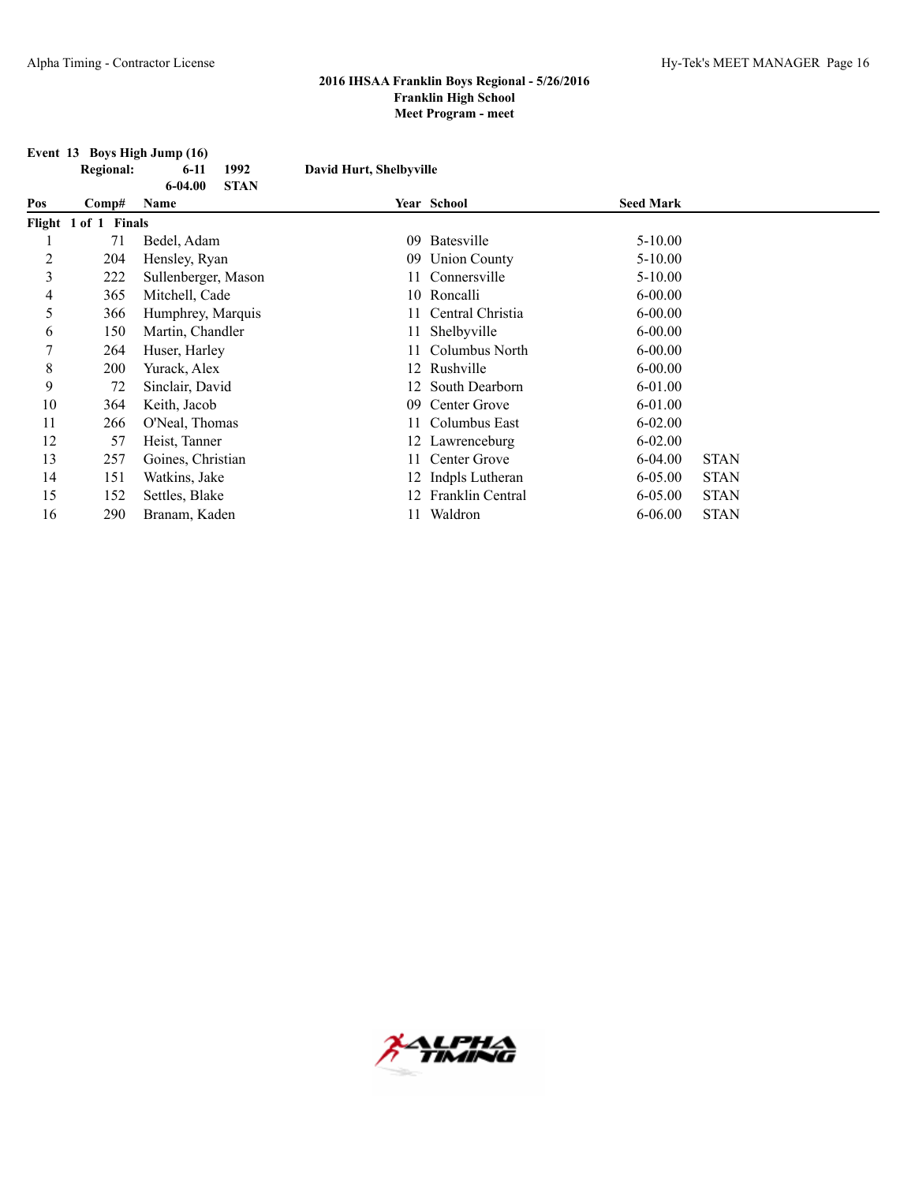|     | Event 13 Boys High Jump (16) |                            |                         |                     |                  |             |  |  |  |
|-----|------------------------------|----------------------------|-------------------------|---------------------|------------------|-------------|--|--|--|
|     | <b>Regional:</b>             | 1992<br>$6-11$             | David Hurt, Shelbyville |                     |                  |             |  |  |  |
|     |                              | $6 - 04.00$<br><b>STAN</b> |                         |                     |                  |             |  |  |  |
| Pos | Comp#                        | Name                       |                         | Year School         | <b>Seed Mark</b> |             |  |  |  |
|     | Flight 1 of 1 Finals         |                            |                         |                     |                  |             |  |  |  |
|     | 71                           | Bedel, Adam                | 09                      | Batesville          | $5 - 10.00$      |             |  |  |  |
| 2   | 204                          | Hensley, Ryan              | 09                      | <b>Union County</b> | $5-10.00$        |             |  |  |  |
| 3   | 222                          | Sullenberger, Mason        | 11.                     | Connersville        | $5 - 10.00$      |             |  |  |  |
| 4   | 365                          | Mitchell, Cade             |                         | 10 Roncalli         | $6 - 00.00$      |             |  |  |  |
| 5   | 366                          | Humphrey, Marquis          |                         | Central Christia    | $6 - 00.00$      |             |  |  |  |
| 6   | 150                          | Martin, Chandler           | 11                      | Shelbyville         | $6 - 00.00$      |             |  |  |  |
| 7   | 264                          | Huser, Harley              |                         | Columbus North      | $6 - 00.00$      |             |  |  |  |
| 8   | 200                          | Yurack, Alex               |                         | 12 Rushville        | $6 - 00.00$      |             |  |  |  |
| 9   | 72                           | Sinclair, David            |                         | 12 South Dearborn   | 6-01.00          |             |  |  |  |
| 10  | 364                          | Keith, Jacob               | 09                      | Center Grove        | $6 - 01.00$      |             |  |  |  |
| 11  | 266                          | O'Neal, Thomas             | 11.                     | Columbus East       | $6 - 02.00$      |             |  |  |  |
| 12  | 57                           | Heist, Tanner              |                         | 12 Lawrenceburg     | $6 - 02.00$      |             |  |  |  |
| 13  | 257                          | Goines, Christian          | 11                      | Center Grove        | $6 - 04.00$      | <b>STAN</b> |  |  |  |
| 14  | 151                          | Watkins, Jake              |                         | 12 Indpls Lutheran  | $6 - 05.00$      | <b>STAN</b> |  |  |  |
| 15  | 152                          | Settles, Blake             |                         | 12 Franklin Central | $6 - 05.00$      | <b>STAN</b> |  |  |  |
| 16  | 290                          | Branam, Kaden              |                         | Waldron             | $6 - 06.00$      | <b>STAN</b> |  |  |  |

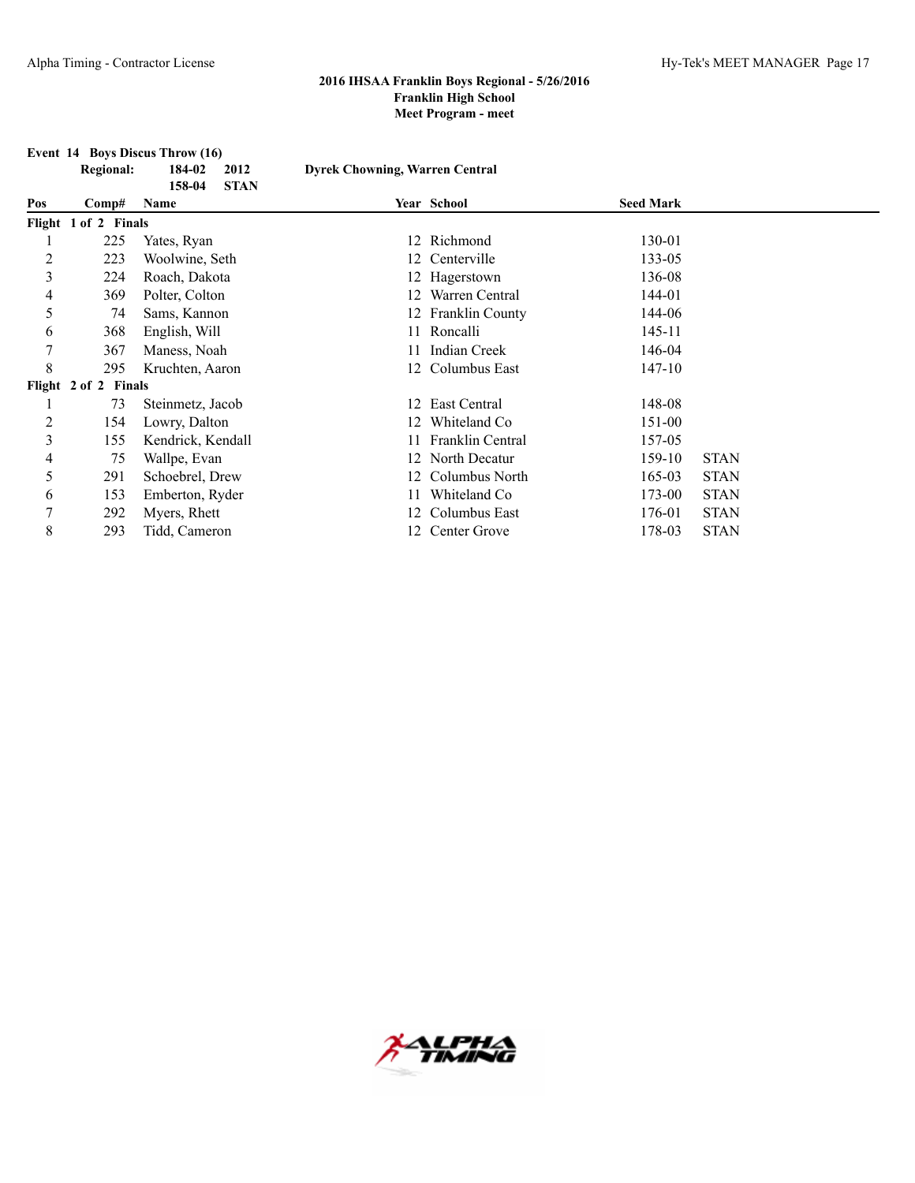|                | <b>Event 14 Boys Discus Throw (16)</b> |                       |                                       |                    |                  |             |  |  |  |
|----------------|----------------------------------------|-----------------------|---------------------------------------|--------------------|------------------|-------------|--|--|--|
|                | <b>Regional:</b>                       | 184-02<br>2012        | <b>Dyrek Chowning, Warren Central</b> |                    |                  |             |  |  |  |
|                |                                        | 158-04<br><b>STAN</b> |                                       |                    |                  |             |  |  |  |
| Pos            | Comp#                                  | Name                  |                                       | <b>Year School</b> | <b>Seed Mark</b> |             |  |  |  |
|                | Flight 1 of 2 Finals                   |                       |                                       |                    |                  |             |  |  |  |
|                | 225                                    | Yates, Ryan           |                                       | 12 Richmond        | 130-01           |             |  |  |  |
| 2              | 223                                    | Woolwine, Seth        |                                       | 12 Centerville     | 133-05           |             |  |  |  |
| 3              | 224                                    | Roach, Dakota         |                                       | 12 Hagerstown      | 136-08           |             |  |  |  |
| 4              | 369                                    | Polter, Colton        | 12.                                   | Warren Central     | 144-01           |             |  |  |  |
| 5              | 74                                     | Sams, Kannon          |                                       | Franklin County    | 144-06           |             |  |  |  |
| 6              | 368                                    | English, Will         |                                       | 11 Roncalli        | 145-11           |             |  |  |  |
| 7              | 367                                    | Maness, Noah          |                                       | Indian Creek       | 146-04           |             |  |  |  |
| 8              | 295                                    | Kruchten, Aaron       | 12                                    | Columbus East      | 147-10           |             |  |  |  |
|                | Flight 2 of 2 Finals                   |                       |                                       |                    |                  |             |  |  |  |
|                | 73                                     | Steinmetz, Jacob      | 12                                    | East Central       | 148-08           |             |  |  |  |
| $\overline{c}$ | 154                                    | Lowry, Dalton         | 12                                    | Whiteland Co       | 151-00           |             |  |  |  |
| 3              | 155                                    | Kendrick, Kendall     |                                       | Franklin Central   | 157-05           |             |  |  |  |
| 4              | 75                                     | Wallpe, Evan          |                                       | 12 North Decatur   | 159-10           | <b>STAN</b> |  |  |  |
| 5              | 291                                    | Schoebrel, Drew       |                                       | Columbus North     | 165-03           | <b>STAN</b> |  |  |  |
| 6              | 153                                    | Emberton, Ryder       |                                       | Whiteland Co       | 173-00           | <b>STAN</b> |  |  |  |
| 7              | 292                                    | Myers, Rhett          | 12                                    | Columbus East      | 176-01           | <b>STAN</b> |  |  |  |
| 8              | 293                                    | Tidd, Cameron         |                                       | 12 Center Grove    | 178-03           | <b>STAN</b> |  |  |  |

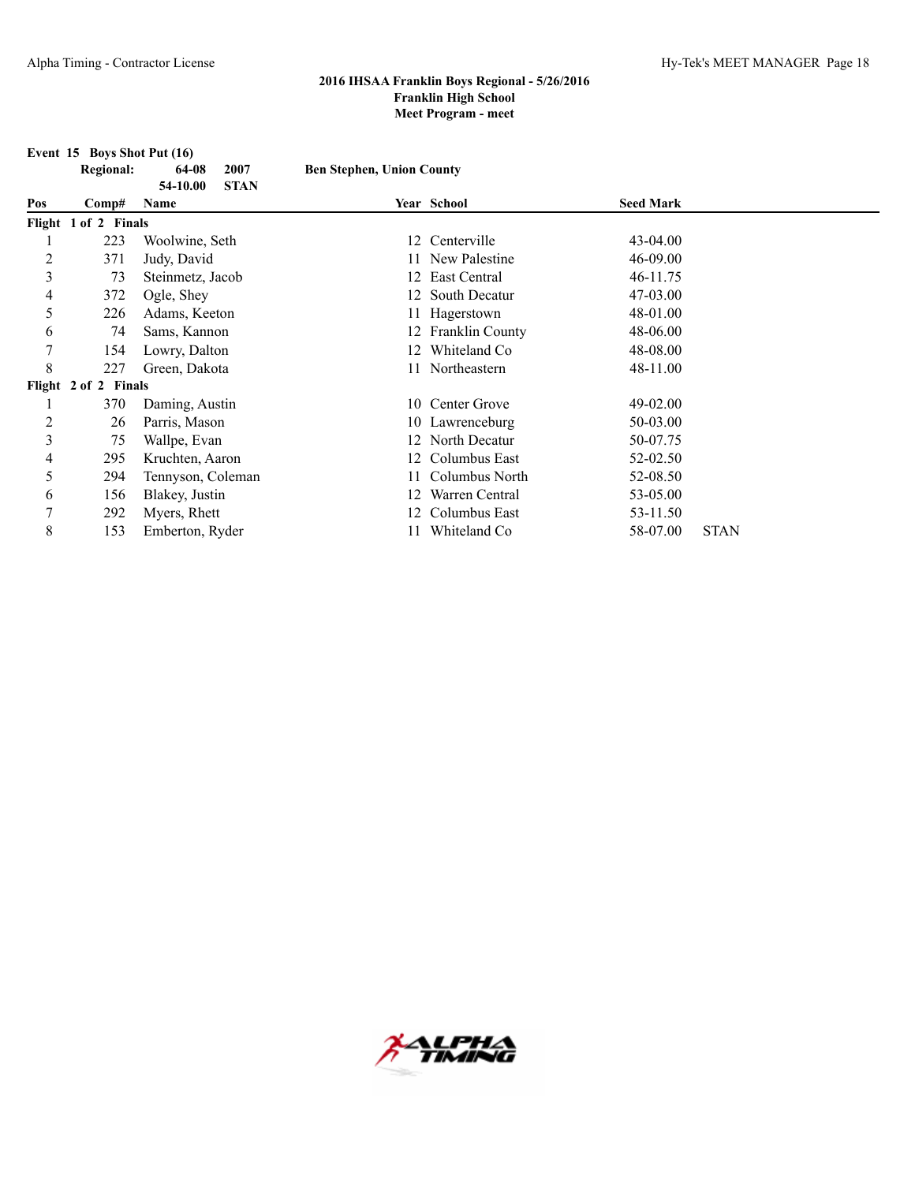**Event 15 Boys Shot Put (16)**<br>Regional: 64-08 2007

|     | <b>Regional:</b>     | 64-08<br>2007<br>54-10.00<br><b>STAN</b> | <b>Ben Stephen, Union County</b> |                    |                  |             |
|-----|----------------------|------------------------------------------|----------------------------------|--------------------|------------------|-------------|
| Pos | Comp#                | <b>Name</b>                              |                                  | Year School        | <b>Seed Mark</b> |             |
|     | Flight 1 of 2 Finals |                                          |                                  |                    |                  |             |
|     | 223                  | Woolwine, Seth                           |                                  | 12 Centerville     | $43 - 04.00$     |             |
| 2   | 371                  | Judy, David                              |                                  | 11 New Palestine   | 46-09.00         |             |
| 3   | 73                   | Steinmetz, Jacob                         | 12.                              | East Central       | 46-11.75         |             |
| 4   | 372                  | Ogle, Shey                               | 12                               | South Decatur      | 47-03.00         |             |
| 5   | 226                  | Adams, Keeton                            |                                  | Hagerstown         | 48-01.00         |             |
| 6   | 74                   | Sams, Kannon                             |                                  | 12 Franklin County | 48-06.00         |             |
| 7   | 154                  | Lowry, Dalton                            | 12                               | Whiteland Co       | 48-08.00         |             |
| 8   | 227                  | Green, Dakota                            |                                  | Northeastern       | 48-11.00         |             |
|     | Flight 2 of 2 Finals |                                          |                                  |                    |                  |             |
|     | 370                  | Daming, Austin                           |                                  | 10 Center Grove    | 49-02.00         |             |
| 2   | 26                   | Parris, Mason                            |                                  | 10 Lawrenceburg    | 50-03.00         |             |
| 3   | 75                   | Wallpe, Evan                             |                                  | North Decatur      | 50-07.75         |             |
| 4   | 295                  | Kruchten, Aaron                          | 12.                              | Columbus East      | 52-02.50         |             |
| 5   | 294                  | Tennyson, Coleman                        |                                  | Columbus North     | 52-08.50         |             |
| 6   | 156                  | Blakey, Justin                           | 12                               | Warren Central     | 53-05.00         |             |
| 7   | 292                  | Myers, Rhett                             |                                  | Columbus East      | 53-11.50         |             |
| 8   | 153                  | Emberton, Ryder                          | 11                               | Whiteland Co       | 58-07.00         | <b>STAN</b> |